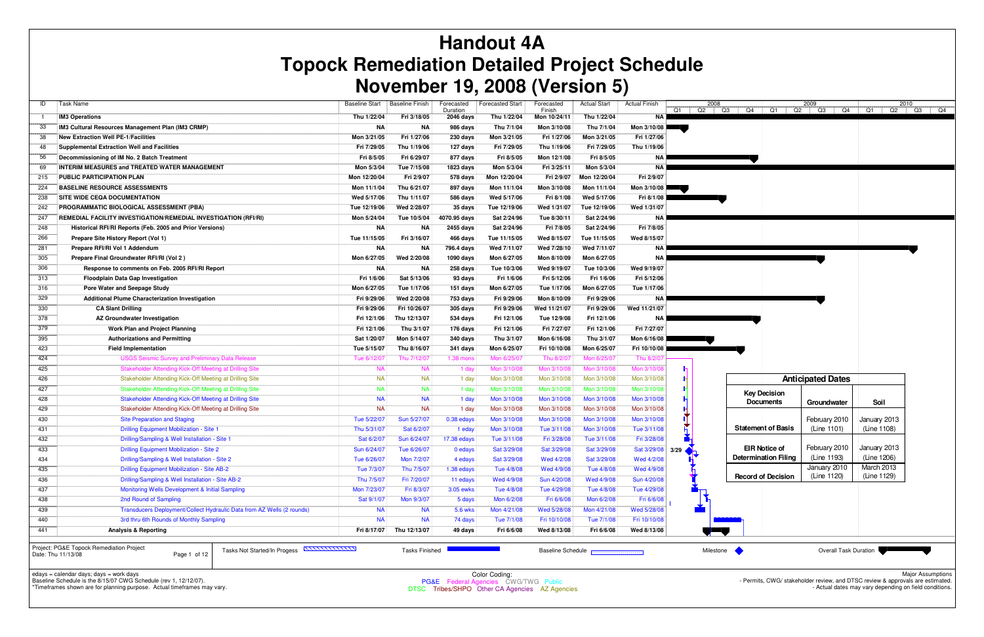| ID           | Task Name                                                                                    | <b>Baseline Start</b> | <b>Baseline Finish</b>   | Forecasted<br>Duration | <b>Forecasted Start</b> | Forecasted<br>Finish     | <b>Actual Start</b> | <b>Actual Finish</b> | Q2<br>Q1 | 2008<br>Q4<br>  Q3 | Q1                        | 2009<br>Q2 Q3 Q4         | Q1     |
|--------------|----------------------------------------------------------------------------------------------|-----------------------|--------------------------|------------------------|-------------------------|--------------------------|---------------------|----------------------|----------|--------------------|---------------------------|--------------------------|--------|
| $\mathbf{1}$ | <b>IM3 Operations</b>                                                                        | Thu 1/22/04           | Fri 3/18/05              | 2046 days              | Thu 1/22/04             | Mon 10/24/11             | Thu 1/22/04         | <b>NA</b>            |          |                    |                           |                          |        |
| 33           | IM3 Cultural Resources Management Plan (IM3 CRMP)                                            | <b>NA</b>             | <b>NA</b>                | 986 days               | Thu 7/1/04              | Mon 3/10/08              | Thu 7/1/04          | Mon 3/10/08          |          |                    |                           |                          |        |
| 38           | <b>New Extraction Well PE-1/Facilities</b>                                                   | Mon 3/21/05           | Fri 1/27/06              | 230 days               | Mon 3/21/05             | Fri 1/27/06              | Mon 3/21/05         | Fri 1/27/06          |          |                    |                           |                          |        |
| 48           | <b>Supplemental Extraction Well and Facilities</b>                                           | Fri 7/29/05           | Thu 1/19/06              | 127 days               | Fri 7/29/05             | Thu 1/19/06              | Fri 7/29/05         | Thu 1/19/06          |          |                    |                           |                          |        |
| 56           | Decommissioning of IM No. 2 Batch Treatment                                                  | Fri 8/5/05            | Fri 6/29/07              | 877 days               | Fri 8/5/05              | Mon 12/1/08              | Fri 8/5/05          | NA                   |          |                    |                           |                          |        |
| 69           | INTERIM MEASURES and TREATED WATER MANAGEMENT                                                | Mon 5/3/04            | Tue 7/15/08              | 1823 days              | Mon 5/3/04              | Fri 3/25/11              | Mon 5/3/04          | NA                   |          |                    |                           |                          |        |
| 215          | PUBLIC PARTICIPATION PLAN                                                                    | Mon 12/20/04          | Fri 2/9/07               | 578 days               | Mon 12/20/04            | Fri 2/9/07               | Mon 12/20/04        | Fri 2/9/07           |          |                    |                           |                          |        |
| 224          | <b>BASELINE RESOURCE ASSESSMENTS</b>                                                         | Mon 11/1/04           | Thu 6/21/07              | 897 days               | Mon 11/1/04             | Mon 3/10/08              | Mon 11/1/04         | Mon 3/10/08          |          |                    |                           |                          |        |
| 238          | SITE WIDE CEQA DOCUMENTATION                                                                 | Wed 5/17/06           | Thu 1/11/07              | 586 days               | Wed 5/17/06             | Fri 8/1/08               | Wed 5/17/06         | Fri 8/1/08           |          |                    |                           |                          |        |
| 242          | PROGRAMMATIC BIOLOGICAL ASSESSMENT (PBA)                                                     | Tue 12/19/06          | Wed 2/28/07              | 35 days                | Tue 12/19/06            | Wed 1/31/07              | Tue 12/19/06        | Wed 1/31/07          |          |                    |                           |                          |        |
| 247          | REMEDIAL FACILITY INVESTIGATION/REMEDIAL INVESTIGATION (RFI/RI)                              | Mon 5/24/04           | Tue 10/5/04              | 4070.95 days           | Sat 2/24/96             | Tue 8/30/11              | Sat 2/24/96         | NA                   |          |                    |                           |                          |        |
| 248          | Historical RFI/RI Reports (Feb. 2005 and Prior Versions)                                     | <b>NA</b>             | <b>NA</b>                | 2455 days              | Sat 2/24/96             | Fri 7/8/05               | Sat 2/24/96         | Fri 7/8/05           |          |                    |                           |                          |        |
| 266          | Prepare Site History Report (Vol 1)                                                          | Tue 11/15/05          | Fri 3/16/07              | 466 days               | Tue 11/15/05            | Wed 8/15/07              | Tue 11/15/05        | Wed 8/15/07          |          |                    |                           |                          |        |
| 281          | Prepare RFI/RI Vol 1 Addendum                                                                | ΝA                    | <b>NA</b>                | 796.4 days             | Wed 7/11/07             | Wed 7/28/10              | Wed 7/11/07         | NA                   |          |                    |                           |                          |        |
| 305          | Prepare Final Groundwater RFI/RI (Vol 2)                                                     | Mon 6/27/05           | Wed 2/20/08              | 1090 days              | Mon 6/27/05             | Mon 8/10/09              | Mon 6/27/05         | NA                   |          |                    |                           |                          |        |
| 306          | Response to comments on Feb. 2005 RFI/RI Report                                              | <b>NA</b>             | <b>NA</b>                | 258 days               | Tue 10/3/06             | Wed 9/19/07              | Tue 10/3/06         | Wed 9/19/07          |          |                    |                           |                          |        |
| 313          | <b>Floodplain Data Gap Investigation</b>                                                     | Fri 1/6/06            | Sat 5/13/06              | 93 days                | Fri 1/6/06              | Fri 5/12/06              | Fri 1/6/06          | Fri 5/12/06          |          |                    |                           |                          |        |
| 316          | Pore Water and Seepage Study                                                                 | Mon 6/27/05           | Tue 1/17/06              | 151 days               | Mon 6/27/05             | Tue 1/17/06              | Mon 6/27/05         | Tue 1/17/06          |          |                    |                           |                          |        |
| 329          | <b>Additional Plume Characterization Investigation</b>                                       | Fri 9/29/06           | Wed 2/20/08              | 753 days               | Fri 9/29/06             | Mon 8/10/09              | Fri 9/29/06         | ΝA                   |          |                    |                           |                          |        |
| 330          | <b>CA Slant Drilling</b>                                                                     | Fri 9/29/06           | Fri 10/26/07             | 305 days               | Fri 9/29/06             | Wed 11/21/07             | Fri 9/29/06         | Wed 11/21/07         |          |                    |                           |                          |        |
| 378          | AZ Groundwater Investigation                                                                 | Fri 12/1/06           | Thu 12/13/07             | 534 days               | Fri 12/1/06             | Tue 12/9/08              | Fri 12/1/06         | ΝA                   |          |                    |                           |                          |        |
| 379          | Work Plan and Project Planning                                                               | Fri 12/1/06           | Thu 3/1/07               | 176 days               | Fri 12/1/06             | Fri 7/27/07              | Fri 12/1/06         | Fri 7/27/07          |          |                    |                           |                          |        |
| 395          | <b>Authorizations and Permitting</b>                                                         | Sat 1/20/07           | Mon 5/14/07              | 340 days               | Thu 3/1/07              | Mon 6/16/08              | Thu 3/1/07          | Mon 6/16/08          |          |                    |                           |                          |        |
| 423          | <b>Field Implementation</b>                                                                  | Tue 5/15/07           | Thu 8/16/07              | 341 days               | Mon 6/25/07             | Fri 10/10/08             | Mon 6/25/07         | Fri 10/10/08         |          |                    |                           |                          |        |
| 424          | <b>USGS Seismic Survey and Preliminary Data Release</b>                                      | Tue 6/12/07           | Thu 7/12/07              | 1.38 mons              | Mon 6/25/07             | Thu 8/2/07               | Mon 6/25/07         | Thu 8/2/0            |          |                    |                           |                          |        |
| 425          | Stakeholder Attending Kick-Off Meeting at Drilling Site                                      | <b>NA</b>             | <b>NA</b>                | 1 day                  | Mon 3/10/08             | Mon 3/10/08              | Mon 3/10/08         | Mon 3/10/08          |          |                    |                           |                          |        |
| 426          | Stakeholder Attending Kick-Off Meeting at Drilling Site                                      | <b>NA</b>             | <b>NA</b>                | 1 day                  | Mon 3/10/08             | Mon 3/10/08              | Mon 3/10/08         | Mon 3/10/08          |          |                    |                           | <b>Anticipated Dates</b> |        |
| 427          | Stakeholder Attending Kick-Off Meeting at Drilling Site                                      | <b>NA</b>             | <b>NA</b>                | 1 day                  | Mon 3/10/08             | Mon 3/10/08              | Mon 3/10/08         | Mon 3/10/08          |          |                    | <b>Key Decision</b>       |                          |        |
| 428          | Stakeholder Attending Kick-Off Meeting at Drilling Site                                      | <b>NA</b>             | <b>NA</b>                | 1 day                  | Mon 3/10/08             | Mon 3/10/08              | Mon 3/10/08         | Mon 3/10/08          |          |                    | <b>Documents</b>          | Groundwater              | S      |
| 429          | Stakeholder Attending Kick-Off Meeting at Drilling Site                                      | <b>NA</b>             | <b>NA</b>                | 1 day                  | Mon 3/10/08             | Mon 3/10/08              | Mon 3/10/08         | Mon 3/10/08          |          |                    |                           |                          |        |
| 430          | <b>Site Preparation and Staging</b>                                                          | Tue 5/22/07           | Sun 5/27/07              | 0.38 edays             | Mon 3/10/08             | Mon 3/10/08              | Mon 3/10/08         | Mon 3/10/08          |          |                    |                           | February 2010            | Januar |
| 431          | <b>Drilling Equipment Mobilization - Site 1</b>                                              | Thu 5/31/07           | Sat 6/2/07               | 1 eday                 | Mon 3/10/08             | Tue 3/11/08              | Mon 3/10/08         | Tue 3/11/08          |          |                    | <b>Statement of Basis</b> | (Line 1101)              | (Line  |
| 432          | Drilling/Sampling & Well Installation - Site 1                                               | Sat 6/2/07            | Sun 6/24/07              | 17.38 edays            | Tue 3/11/08             | Fri 3/28/08              | Tue 3/11/08         | Fri 3/28/08          |          |                    |                           |                          |        |
| 433          | Drilling Equipment Mobilization - Site 2                                                     | Sun 6/24/07           | Tue 6/26/07              | 0 edays                | Sat 3/29/08             | Sat 3/29/08              | Sat 3/29/08         | Sat 3/29/08          | 3/29     |                    | <b>EIR Notice of</b>      | February 2010            | Januar |
| 434          | Drilling/Sampling & Well Installation - Site 2                                               | Tue 6/26/07           | Mon 7/2/07               | 4 edays                | Sat 3/29/08             | Wed 4/2/08               | Sat 3/29/08         | Wed 4/2/08           |          |                    | Determination Filing      | (Line 1193)              | (Line  |
| 435          | Drilling Equipment Mobilization - Site AB-2                                                  | Tue 7/3/07            | Thu 7/5/07               | 1.38 edays             | Tue 4/8/08              | Wed 4/9/08               | Tue 4/8/08          | Wed 4/9/08           |          |                    |                           | January 2010             | March  |
| 436          | Drilling/Sampling & Well Installation - Site AB-2                                            | Thu 7/5/07            | Fri 7/20/07              | 11 edays               | Wed 4/9/08              | Sun 4/20/08              | Wed 4/9/08          | Sun 4/20/08          |          |                    | <b>Record of Decision</b> | (Line 1120)              | (Line  |
| 437          | Monitoring Wells Development & Initial Sampling                                              | Mon 7/23/07           | Fri 8/3/07               | 3.05 ewks              | Tue 4/8/08              | Tue 4/29/08              | Tue 4/8/08          | Tue 4/29/08          |          |                    |                           |                          |        |
| 438          | 2nd Round of Sampling                                                                        | Sat 9/1/07            | Mon 9/3/07               | 5 days                 | Mon 6/2/08              | Fri 6/6/08               | Mon 6/2/08          | Fri 6/6/08           |          |                    |                           |                          |        |
| 439          | Transducers Deployment/Collect Hydraulic Data from AZ Wells (2 rounds)                       | <b>NA</b>             | <b>NA</b>                | 5.6 wks                | Mon 4/21/08             | Wed 5/28/08              | Mon 4/21/08         | Wed 5/28/08          |          |                    |                           |                          |        |
| 440          | 3rd thru 6th Rounds of Monthly Sampling                                                      | <b>NA</b>             | <b>NA</b>                | 74 days                | Tue 7/1/08              | Fri 10/10/08             | Tue 7/1/08          | Fri 10/10/08         |          |                    |                           |                          |        |
| 441          | <b>Analysis &amp; Reporting</b>                                                              |                       | Fri 8/17/07 Thu 12/13/07 | 49 days                | Fri 6/6/08              | Wed 8/13/08              | Fri 6/6/08          | Wed 8/13/08          |          |                    |                           |                          |        |
|              | Project: PG&E Topock Remediation Project<br>Tasks Not Started/In Progess <b>NITITITITITI</b> |                       | <b>Tasks Finished</b>    |                        |                         | <b>Baseline Schedule</b> |                     |                      |          | Milestone          |                           | Overall Task Duration    |        |



# **Handout 4A Topock Remediation Detailed Project Schedule November 19, 2008 (Version 5)**

edays = calendar days; days = work days Baseline Schedule is the 8/15/07 CWG Schedule (rev 1, 12/12/07).

\*Timeframes shown are for planning purpose. Actual timeframes may vary.

Date: Thu 11/13/08 Page 1 of 12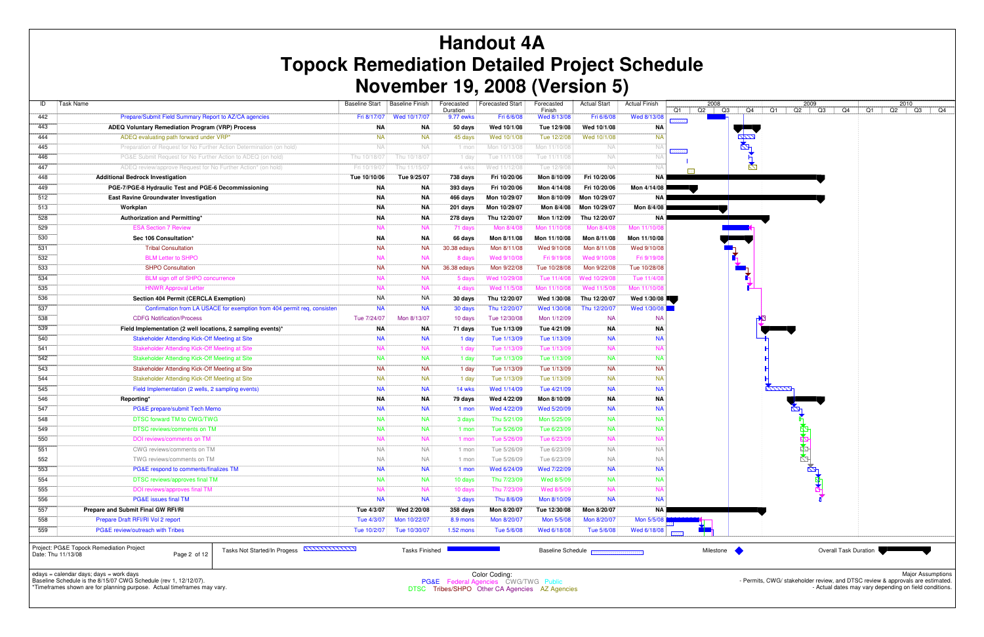| ID  | Task Name                                                               | <b>Baseline Start</b> | <b>Baseline Finish</b> | Forecasted<br>Duration | <b>Forecasted Start</b> | Forecasted<br>Finish | <b>Actual Start</b> | <b>Actual Finish</b> | 2008<br>Q1<br>Q2 |
|-----|-------------------------------------------------------------------------|-----------------------|------------------------|------------------------|-------------------------|----------------------|---------------------|----------------------|------------------|
| 442 | Prepare/Submit Field Summary Report to AZ/CA agencies                   | Fri 8/17/07           | Wed 10/17/07           | 9.77 ewks              | Fri 6/6/08              | Wed 8/13/08          | Fri 6/6/08          | Wed 8/13/08          |                  |
| 443 | ADEQ Voluntary Remediation Program (VRP) Process                        | ΝA                    | ΝA                     | 50 days                | Wed 10/1/08             | Tue 12/9/08          | Wed 10/1/08         | ΝA                   |                  |
| 444 | ADEQ evaluating path forward under VRP*                                 | <b>NA</b>             | <b>NA</b>              | 45 days                | Wed 10/1/08             | Tue 12/2/08          | Wed 10/1/08         | <b>NA</b>            |                  |
| 445 | Preparation of Request for No Further Action Determination (on hold)    | NA                    | <b>NA</b>              | 1 mon                  | Mon 10/13/08            | Mon 11/10/08         | NA                  | <b>NA</b>            |                  |
| 446 | PG&E Submit Request for No Further Action to ADEQ (on hold)             | Thu 10/18/07          | Thu 10/18/07           | 1 day                  | Tue 11/11/08            | Tue 11/11/08         | <b>NA</b>           | <b>NA</b>            |                  |
| 447 | ADEQ review/approve Request for No Further Action* (on hold)            | Fri 10/19/07          | Thu 11/15/07           | 4 wks                  | Wed 11/12/08            | Tue 12/9/08          | NA                  | <b>NA</b>            |                  |
| 448 | <b>Additional Bedrock Investigation</b>                                 | Tue 10/10/06          | Tue 9/25/07            | 738 days               | Fri 10/20/06            | Mon 8/10/09          | Fri 10/20/06        | ΝA                   |                  |
| 449 | PGE-7/PGE-8 Hydraulic Test and PGE-6 Decommissioning                    | <b>NA</b>             | ΝA                     | 393 days               | Fri 10/20/06            | Mon 4/14/08          | Fri 10/20/06        | Mon 4/14/08          |                  |
| 512 | <b>East Ravine Groundwater Investigation</b>                            | <b>NA</b>             | ΝA                     | 466 days               | Mon 10/29/07            | Mon 8/10/09          | Mon 10/29/07        | ΝA                   |                  |
| 513 | Workplan                                                                | <b>NA</b>             | ΝA                     | 201 days               | Mon 10/29/07            | Mon 8/4/08           | Mon 10/29/07        | Mon 8/4/08           |                  |
| 528 | Authorization and Permitting*                                           | ΝA                    | ΝA                     | 278 days               | Thu 12/20/07            | Mon 1/12/09          | Thu 12/20/07        | NA                   |                  |
| 529 | <b>ESA Section 7 Review</b>                                             | <b>NA</b>             | <b>NA</b>              | 71 days                | Mon 8/4/08              | Mon 11/10/08         | Mon 8/4/08          | Mon 11/10/08         |                  |
| 530 | Sec 106 Consultation*                                                   | ΝA                    | ΝA                     | 66 days                | Mon 8/11/08             | Mon 11/10/08         | Mon 8/11/08         | Mon 11/10/08         |                  |
| 531 | <b>Tribal Consultation</b>                                              | <b>NA</b>             | <b>NA</b>              | 30.38 edays            | Mon 8/11/08             | Wed 9/10/08          | Mon 8/11/08         | Wed 9/10/08          |                  |
| 532 | <b>BLM Letter to SHPO</b>                                               | <b>NA</b>             | <b>NA</b>              | 8 days                 | Wed 9/10/08             | Fri 9/19/08          | Wed 9/10/08         | Fri 9/19/08          |                  |
| 533 | <b>SHPO Consultation</b>                                                | <b>NA</b>             | <b>NA</b>              | 36.38 edays            | Mon 9/22/08             | Tue 10/28/08         | Mon 9/22/08         | Tue 10/28/08         |                  |
| 534 | BLM sign off of SHPO concurrence                                        | <b>NA</b>             | <b>NA</b>              | 5 days                 | Wed 10/29/08            | Tue 11/4/08          | Wed 10/29/08        | Tue 11/4/08          |                  |
| 535 | <b>HNWR Approval Letter</b>                                             | <b>NA</b>             | <b>NA</b>              | 4 days                 | Wed 11/5/08             | Mon 11/10/08         | Wed 11/5/08         | Mon 11/10/08         |                  |
| 536 | <b>Section 404 Permit (CERCLA Exemption)</b>                            | <b>NA</b>             | <b>NA</b>              | 30 days                | Thu 12/20/07            | Wed 1/30/08          | Thu 12/20/07        | Wed 1/30/08          |                  |
| 537 | Confirmation from LA USACE for exemption from 404 permit req, consisten | <b>NA</b>             | <b>NA</b>              | 30 days                | Thu 12/20/07            | Wed 1/30/08          | Thu 12/20/07        | Wed 1/30/08          |                  |
| 538 | <b>CDFG Notification/Process</b>                                        | Tue 7/24/07           | Mon 8/13/07            | 10 days                | Tue 12/30/08            | Mon 1/12/09          | <b>NA</b>           | <b>NA</b>            |                  |
| 539 | Field Implementation (2 well locations, 2 sampling events)*             | ΝA                    | NA                     | 71 days                | Tue 1/13/09             | Tue 4/21/09          | ΝA                  | ΝA                   |                  |
| 540 | Stakeholder Attending Kick-Off Meeting at Site                          | <b>NA</b>             | <b>NA</b>              | 1 day                  | Tue 1/13/09             | Tue 1/13/09          | <b>NA</b>           | <b>NA</b>            |                  |
| 541 | Stakeholder Attending Kick-Off Meeting at Site                          | <b>NA</b>             | <b>NA</b>              | 1 day                  | Tue 1/13/09             | Tue 1/13/09          | <b>NA</b>           | <b>NA</b>            |                  |
| 542 | Stakeholder Attending Kick-Off Meeting at Site                          | <b>NA</b>             | <b>NA</b>              | 1 day                  | Tue 1/13/09             | Tue 1/13/09          | <b>NA</b>           | <b>NA</b>            |                  |
| 543 | Stakeholder Attending Kick-Off Meeting at Site                          | <b>NA</b>             | <b>NA</b>              | 1 day                  | Tue 1/13/09             | Tue 1/13/09          | <b>NA</b>           | <b>NA</b>            |                  |
| 544 | Stakeholder Attending Kick-Off Meeting at Site                          | <b>NA</b>             | <b>NA</b>              | 1 day                  | Tue 1/13/09             | Tue 1/13/09          | <b>NA</b>           | <b>NA</b>            |                  |
| 545 | Field Implementation (2 wells, 2 sampling events)                       | <b>NA</b>             | <b>NA</b>              | 14 wks                 | Wed 1/14/09             | Tue 4/21/09          | <b>NA</b>           | <b>NA</b>            |                  |
| 546 | Reporting*                                                              | <b>NA</b>             | <b>NA</b>              | 79 days                | Wed 4/22/09             | Mon 8/10/09          | <b>NA</b>           | <b>NA</b>            |                  |
| 547 | PG&E prepare/submit Tech Memo                                           | <b>NA</b>             | <b>NA</b>              | 1 mon                  | Wed 4/22/09             | Wed 5/20/09          | <b>NA</b>           | <b>NA</b>            |                  |
| 548 | DTSC forward TM to CWG/TWG                                              | <b>NA</b>             | <b>NA</b>              | 3 days                 | Thu 5/21/09             | Mon 5/25/09          | <b>NA</b>           | <b>NA</b>            |                  |
| 549 | DTSC reviews/comments on TM                                             | <b>NA</b>             | <b>NA</b>              | 1 mon                  | Tue 5/26/09             | Tue 6/23/09          | <b>NA</b>           | <b>NA</b>            |                  |
| 550 | DOI reviews/comments on TM                                              | <b>NA</b>             | <b>NA</b>              | 1 mon                  | Tue 5/26/09             | Tue 6/23/09          | <b>NA</b>           | <b>NA</b>            |                  |
| 551 | CWG reviews/comments on TM                                              | <b>NA</b>             | <b>NA</b>              | 1 mon                  | Tue 5/26/09             | Tue 6/23/09          | <b>NA</b>           | <b>NA</b>            |                  |
| 552 | TWG reviews/comments on TM                                              | <b>NA</b>             | <b>NA</b>              | 1 mon                  | Tue 5/26/09             | Tue 6/23/09          | <b>NA</b>           | <b>NA</b>            |                  |
| 553 | PG&E respond to comments/finalizes TM                                   | <b>NA</b>             | <b>NA</b>              | 1 mon                  | Wed 6/24/09             | Wed 7/22/09          | <b>NA</b>           | <b>NA</b>            |                  |
| 554 | DTSC reviews/approves final TM                                          | <b>NA</b>             | <b>NA</b>              | 10 days                | Thu 7/23/09             | Wed 8/5/09           | <b>NA</b>           | <b>NA</b>            |                  |
| 555 | DOI reviews/approves final TM                                           | <b>NA</b>             | <b>NA</b>              | 10 days                | Thu 7/23/09             | Wed 8/5/09           | <b>NA</b>           | <b>NA</b>            |                  |
| 556 | PG&E issues final TM                                                    | <b>NA</b>             | <b>NA</b>              | 3 days                 | Thu 8/6/09              | Mon 8/10/09          | <b>NA</b>           | <b>NA</b>            |                  |
| 557 | Prepare and Submit Final GW RFI/RI                                      | Tue 4/3/07            | Wed 2/20/08            | 358 days               | Mon 8/20/07             | Tue 12/30/08         | Mon 8/20/07         | <b>NA</b>            |                  |
| 558 | Prepare Draft RFI/RI Vol 2 report                                       | Tue 4/3/07            | Mon 10/22/07           | 8.9 mons               | Mon 8/20/07             | Mon 5/5/08           | Mon 8/20/07         | Mon 5/5/08           |                  |
| 559 | <b>PG&amp;E review/outreach with Tribes</b>                             | Tue 10/2/07           | Tue 10/30/07           | $1.52$ mons            | Tue 5/6/08              | Wed 6/18/08          | Tue 5/6/08          | Wed 6/18/08          |                  |
|     | 00057                                                                   |                       |                        |                        |                         |                      |                     |                      |                  |

# **Handout 4A Topock Remediation Detailed Project Schedule November 19, 2008 (Version 5)**

edays = calendar days; days = work days Baseline Schedule is the 8/15/07 CWG Schedule (rev 1, 12/12/07).



\*Timeframes shown are for planning purpose. Actual timeframes may vary.

Project: PG&E Topock Remediation Project Date: Thu 11/13/08 Page 2 of 12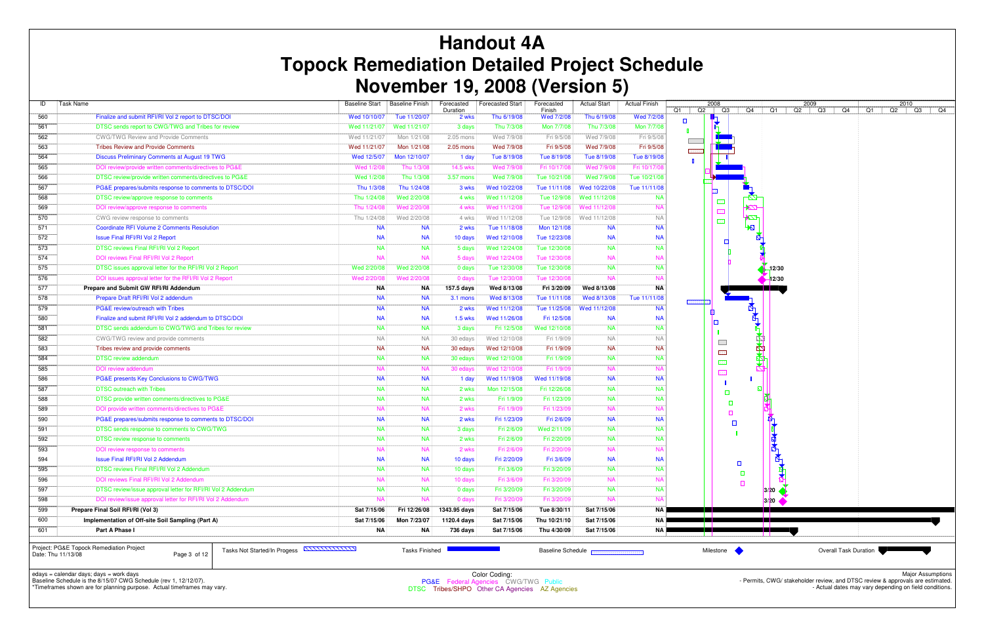| ID  | <b>Task Name</b>                                            | <b>Baseline Start</b> | <b>Baseline Finish</b> | Forecasted<br>Duration | <b>Forecasted Start</b> | Forecasted<br>Finish | <b>Actual Start</b> | <b>Actual Finish</b> | Q1     | Q2 | 2008                       |
|-----|-------------------------------------------------------------|-----------------------|------------------------|------------------------|-------------------------|----------------------|---------------------|----------------------|--------|----|----------------------------|
| 560 | Finalize and submit RFI/RI Vol 2 report to DTSC/DOI         | Wed 10/10/07          | Tue 11/20/07           | 2 wks                  | Thu 6/19/08             | Wed 7/2/08           | Thu 6/19/08         | Wed 7/2/08           | $\Box$ |    |                            |
| 561 | DTSC sends report to CWG/TWG and Tribes for review          | Wed 11/21/07          | Wed 11/21/07           | 3 days                 | Thu 7/3/08              | Mon 7/7/08           | Thu 7/3/08          | Mon 7/7/08           |        |    |                            |
| 562 | <b>CWG/TWG Review and Provide Comments</b>                  | Wed 11/21/07          | Mon 1/21/08            | 2.05 mons              | Wed 7/9/08              | Fri 9/5/08           | Wed 7/9/08          | Fri 9/5/08           |        |    |                            |
| 563 | <b>Tribes Review and Provide Comments</b>                   | Wed 11/21/07          | Mon 1/21/08            | 2.05 mons              | Wed 7/9/08              | Fri 9/5/08           | Wed 7/9/08          | Fri 9/5/08           |        |    |                            |
| 564 | Discuss Preliminary Comments at August 19 TWG               | Wed 12/5/07           | Mon 12/10/07           | 1 day                  | Tue 8/19/08             | Tue 8/19/08          | Tue 8/19/08         | Tue 8/19/08          |        |    |                            |
| 565 | DOI review/provide written comments/directives to PG&E      | Wed 1/2/08            | Thu 1/3/08             | 14.5 wks               | Wed 7/9/08              | Fri 10/17/08         | Wed 7/9/08          | Fri 10/17/08         |        |    |                            |
| 566 | DTSC review/provide written comments/directives to PG&E     | Wed 1/2/08            | Thu 1/3/08             | 3.57 mons              | Wed 7/9/08              | Tue 10/21/08         | Wed 7/9/08          | Tue 10/21/08         |        |    |                            |
| 567 | PG&E prepares/submits response to comments to DTSC/DOI      | Thu 1/3/08            | Thu 1/24/08            | 3 wks                  | Wed 10/22/08            | Tue 11/11/08         | Wed 10/22/08        | Tue 11/11/08         |        |    | ⊡                          |
| 568 | DTSC review/approve response to comments                    | Thu 1/24/08           | Wed 2/20/08            | 4 wks                  | Wed 11/12/08            | Tue 12/9/08          | Wed 11/12/08        | <b>NA</b>            |        |    |                            |
| 569 | DOI review/approve response to comments                     | Thu 1/24/08           | Wed 2/20/08            | 4 wks                  | Wed 11/12/08            | Tue 12/9/08          | Wed 11/12/08        | <b>NA</b>            |        |    |                            |
| 570 | CWG review response to comments                             | Thu 1/24/08           | Wed 2/20/08            | 4 wks                  | Wed 11/12/08            | Tue 12/9/08          | Wed 11/12/08        | <b>NA</b>            |        |    |                            |
| 571 | <b>Coordinate RFI Volume 2 Comments Resolution</b>          | <b>NA</b>             | <b>NA</b>              | 2 wks                  | Tue 11/18/08            | Mon 12/1/08          | <b>NA</b>           | <b>NA</b>            |        |    |                            |
| 572 | <b>Issue Final RFI/RI Vol 2 Report</b>                      | <b>NA</b>             | <b>NA</b>              | 10 days                | Wed 12/10/08            | Tue 12/23/08         | <b>NA</b>           | <b>NA</b>            |        |    |                            |
| 573 | DTSC reviews Final RFI/RI Vol 2 Report                      | <b>NA</b>             | <b>NA</b>              | 5 days                 | Wed 12/24/08            | Tue 12/30/08         | <b>NA</b>           | <b>NA</b>            |        |    |                            |
| 574 | DOI reviews Final RFI/RI Vol 2 Report                       | <b>NA</b>             | <b>NA</b>              | 5 days                 | Wed 12/24/08            | Tue 12/30/08         | <b>NA</b>           | <b>NA</b>            |        |    |                            |
| 575 | DTSC issues approval letter for the RFI/RI Vol 2 Report     | Wed 2/20/08           | Wed 2/20/08            | 0 days                 | Tue 12/30/08            | Tue 12/30/08         | <b>NA</b>           | <b>NA</b>            |        |    |                            |
| 576 | DOI issues approval letter for the RFI/RI Vol 2 Report      | Wed 2/20/08           | Wed 2/20/08            | 0 days                 | Tue 12/30/08            | Tue 12/30/08         | <b>NA</b>           | <b>NA</b>            |        |    |                            |
| 577 | Prepare and Submit GW RFI/RI Addendum                       | <b>NA</b>             | ΝA                     | 157.5 days             | Wed 8/13/08             | Fri 3/20/09          | Wed 8/13/08         | ΝA                   |        |    |                            |
| 578 | Prepare Draft RFI/RI Vol 2 addendum                         | <b>NA</b>             | <b>NA</b>              | 3.1 mons               | Wed 8/13/08             | Tue 11/11/08         | Wed 8/13/08         | Tue 11/11/08         |        |    |                            |
| 579 | PG&E review/outreach with Tribes                            | <b>NA</b>             | <b>NA</b>              | 2 wks                  | Wed 11/12/08            | Tue 11/25/08         | Wed 11/12/08        | <b>NA</b>            |        |    | ▥                          |
| 580 | Finalize and submit RFI/RI Vol 2 addendum to DTSC/DOI       | <b>NA</b>             | <b>NA</b>              | 1.5 wks                | Wed 11/26/08            | Fri 12/5/08          | <b>NA</b>           | <b>NA</b>            |        |    | ١o                         |
| 581 | DTSC sends addendum to CWG/TWG and Tribes for review        | <b>NA</b>             | <b>NA</b>              | 3 days                 | Fri 12/5/08             | Wed 12/10/08         | <b>NA</b>           | <b>NA</b>            |        |    |                            |
| 582 | CWG/TWG review and provide comments                         | <b>NA</b>             | <b>NA</b>              | 30 edays               | Wed 12/10/08            | Fri 1/9/09           | <b>NA</b>           | <b>NA</b>            |        |    |                            |
| 583 | Tribes review and provide comments                          | <b>NA</b>             | <b>NA</b>              | 30 edays               | Wed 12/10/08            | Fri 1/9/09           | <b>NA</b>           | <b>NA</b>            |        |    |                            |
| 584 | <b>DTSC review addendum</b>                                 | <b>NA</b>             | <b>NA</b>              | 30 edays               | Wed 12/10/08            | Fri 1/9/09           | <b>NA</b>           | <b>NA</b>            |        |    |                            |
| 585 | DOI review addendum                                         | <b>NA</b>             | <b>NA</b>              | 30 edays               | Wed 12/10/08            | Fri 1/9/09           | <b>NA</b>           | <b>NA</b>            |        |    |                            |
| 586 | PG&E presents Key Conclusions to CWG/TWG                    | <b>NA</b>             | <b>NA</b>              | 1 day                  | Wed 11/19/08            | Wed 11/19/08         | <b>NA</b>           | <b>NA</b>            |        |    |                            |
| 587 | <b>DTSC outreach with Tribes</b>                            | <b>NA</b>             | <b>NA</b>              | 2 wks                  | Mon 12/15/08            | Fri 12/26/08         | <b>NA</b>           | <b>NA</b>            |        |    |                            |
| 588 | DTSC provide written comments/directives to PG&E            | <b>NA</b>             | <b>NA</b>              | 2 wks                  | Fri 1/9/09              | Fri 1/23/09          | <b>NA</b>           | <b>NA</b>            |        |    |                            |
| 589 | DOI provide written comments/directives to PG&E             | <b>NA</b>             | <b>NA</b>              | 2 wks                  | Fri 1/9/09              | Fri 1/23/09          | <b>NA</b>           | <b>NA</b>            |        |    |                            |
| 590 | PG&E prepares/submits response to comments to DTSC/DOI      | <b>NA</b>             | <b>NA</b>              | 2 wks                  | Fri 1/23/09             | Fri 2/6/09           | <b>NA</b>           | <b>NA</b>            |        |    |                            |
| 591 | DTSC sends response to comments to CWG/TWG                  | <b>NA</b>             | <b>NA</b>              | 3 days                 | Fri 2/6/09              | Wed 2/11/09          | <b>NA</b>           | <b>NA</b>            |        |    |                            |
| 592 | DTSC review response to comments                            | <b>NA</b>             | <b>NA</b>              | 2 wks                  | Fri 2/6/09              | Fri 2/20/09          | <b>NA</b>           | <b>NA</b>            |        |    |                            |
| 593 | DOI review response to comments                             | <b>NA</b>             | <b>NA</b>              | 2 wks                  | Fri 2/6/09              | Fri 2/20/09          | <b>NA</b>           | <b>NA</b>            |        |    |                            |
| 594 | <b>Issue Final RFI/RI Vol 2 Addendum</b>                    | <b>NA</b>             | <b>NA</b>              | 10 days                | Fri 2/20/09             | Fri 3/6/09           | <b>NA</b>           | <b>NA</b>            |        |    |                            |
| 595 | DTSC reviews Final RFI/RI Vol 2 Addendum                    | <b>NA</b>             | <b>NA</b>              | 10 days                | Fri 3/6/09              | Fri 3/20/09          | <b>NA</b>           | <b>NA</b>            |        |    |                            |
| 596 | DOI reviews Final RFI/RI Vol 2 Addendum                     | <b>NA</b>             | <b>NA</b>              | 10 days                | Fri 3/6/09              | Fri 3/20/09          | <b>NA</b>           | <b>NA</b>            |        |    |                            |
| 597 | DTSC review/issue approval letter for RFI/RI Vol 2 Addendum | <b>NA</b>             | <b>NA</b>              | 0 days                 | Fri 3/20/09             | Fri 3/20/09          | <b>NA</b>           | <b>NA</b>            |        |    |                            |
| 598 | DOI review/issue approval letter for RFI/RI Vol 2 Addendum  | <b>NA</b>             | <b>NA</b>              | 0 days                 | Fri 3/20/09             | Fri 3/20/09          | <b>NA</b>           | <b>NA</b>            |        |    |                            |
| 599 | Prepare Final Soil RFI/RI (Vol 3)                           | Sat 7/15/06           | Fri 12/26/08           | 1343.95 days           | Sat 7/15/06             | Tue 8/30/11          | Sat 7/15/06         | <b>NA</b>            |        |    | a katika s                 |
| 600 | Implementation of Off-site Soil Sampling (Part A)           | Sat 7/15/06           | Mon 7/23/07            | 1120.4 days            | Sat 7/15/06             | Thu 10/21/10         | Sat 7/15/06         | NA                   |        |    | and the state of the state |
| 601 | Part A Phase I                                              | ΝA                    | <b>NA</b>              | 736 days               | Sat 7/15/06             | Thu 4/30/09          | Sat 7/15/06         | NA                   |        |    | $\mathbf{1}$<br>.          |

Project: PG&E Topock Remediation ProjectDate: Thu 11/13/08 Page 3 of 12

# **Handout 4A Topock Remediation Detailed Project Schedule November 19, 2008 (Version 5)**

edays = calendar days; days = work days Baseline Schedule is the 8/15/07 CWG Schedule (rev 1, 12/12/07).

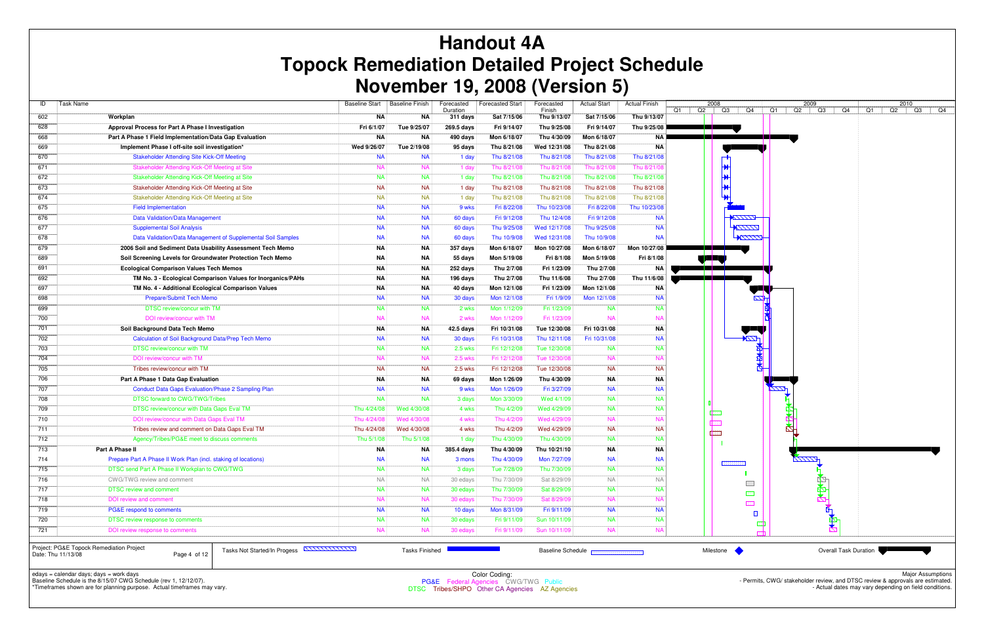| ID  | Task Name                                                      | <b>Baseline Start</b> | <b>Baseline Finish</b> | Forecasted<br>Duration | <b>Forecasted Start</b> | Forecasted<br>Finish | <b>Actual Start</b> | <b>Actual Finish</b> | Q2<br>Q1 | 2008            |
|-----|----------------------------------------------------------------|-----------------------|------------------------|------------------------|-------------------------|----------------------|---------------------|----------------------|----------|-----------------|
| 602 | Workplan                                                       | ΝA                    | NA                     | 311 days               | Sat 7/15/06             | Thu 9/13/07          | Sat 7/15/06         | Thu 9/13/07          |          |                 |
| 628 | Approval Process for Part A Phase I Investigation              | Fri 6/1/07            | Tue 9/25/07            | 269.5 days             | Fri 9/14/07             | Thu 9/25/08          | Fri 9/14/07         | Thu 9/25/08          |          |                 |
| 668 | Part A Phase 1 Field Implementation/Data Gap Evaluation        | <b>NA</b>             | NA                     | 490 days               | Mon 6/18/07             | Thu 4/30/09          | Mon 6/18/07         | <b>NA</b>            |          |                 |
| 669 | Implement Phase I off-site soil investigation*                 | Wed 9/26/07           | Tue 2/19/08            | 95 days                | Thu 8/21/08             | Wed 12/31/08         | Thu 8/21/08         | <b>NA</b>            |          |                 |
| 670 | <b>Stakeholder Attending Site Kick-Off Meeting</b>             | <b>NA</b>             | <b>NA</b>              | 1 day                  | Thu 8/21/08             | Thu 8/21/08          | Thu 8/21/08         | Thu 8/21/08          |          |                 |
| 671 | Stakeholder Attending Kick-Off Meeting at Site                 | <b>NA</b>             | <b>NA</b>              | 1 day                  | Thu 8/21/08             | Thu 8/21/08          | Thu 8/21/08         | Thu 8/21/08          |          |                 |
| 672 | Stakeholder Attending Kick-Off Meeting at Site                 | <b>NA</b>             | <b>NA</b>              | 1 day                  | Thu 8/21/08             | Thu 8/21/08          | Thu 8/21/08         | Thu 8/21/08          |          |                 |
| 673 | Stakeholder Attending Kick-Off Meeting at Site                 | <b>NA</b>             | <b>NA</b>              | 1 day                  | Thu 8/21/08             | Thu 8/21/08          | Thu 8/21/08         | Thu 8/21/08          |          |                 |
| 674 | Stakeholder Attending Kick-Off Meeting at Site                 | <b>NA</b>             | <b>NA</b>              | 1 day                  | Thu 8/21/08             | Thu 8/21/08          | Thu 8/21/08         | Thu 8/21/08          |          |                 |
| 675 | <b>Field Implementation</b>                                    | <b>NA</b>             | <b>NA</b>              | 9 wks                  | Fri 8/22/08             | Thu 10/23/08         | Fri 8/22/08         | Thu 10/23/08         |          |                 |
| 676 | <b>Data Validation/Data Management</b>                         | <b>NA</b>             | <b>NA</b>              | 60 days                | Fri 9/12/08             | Thu 12/4/08          | Fri 9/12/08         | <b>NA</b>            |          |                 |
| 677 | <b>Supplemental Soil Analysis</b>                              | <b>NA</b>             | <b>NA</b>              | 60 days                | Thu 9/25/08             | Wed 12/17/08         | Thu 9/25/08         | <b>NA</b>            |          |                 |
| 678 | Data Validation/Data Management of Supplemental Soil Samples   | <b>NA</b>             | <b>NA</b>              | 60 days                | Thu 10/9/08             | Wed 12/31/08         | Thu 10/9/08         | <b>NA</b>            |          |                 |
| 679 | 2006 Soil and Sediment Data Usability Assessment Tech Memo     | ΝA                    | NA                     | 357 days               | Mon 6/18/07             | Mon 10/27/08         | Mon 6/18/07         | Mon 10/27/08         |          |                 |
| 689 | Soil Screening Levels for Groundwater Protection Tech Memo     | ΝA                    | NA                     | 55 days                | Mon 5/19/08             | Fri 8/1/08           | Mon 5/19/08         | Fri 8/1/08           |          | YT              |
| 691 | <b>Ecological Comparison Values Tech Memos</b>                 | <b>NA</b>             | NA                     | 252 days               | Thu 2/7/08              | Fri 1/23/09          | Thu 2/7/08          | <b>NA</b>            |          |                 |
| 692 | TM No. 3 - Ecological Comparison Values for Inorganics/PAHs    | ΝA                    | NA                     | 196 days               | Thu 2/7/08              | Thu 11/6/08          | Thu 2/7/08          | Thu 11/6/08          |          | a porto de la c |
| 697 | TM No. 4 - Additional Ecological Comparison Values             | ΝA                    | NA                     | 40 days                | Mon 12/1/08             | Fri 1/23/09          | Mon 12/1/08         | <b>NA</b>            |          |                 |
| 698 | Prepare/Submit Tech Memo                                       | <b>NA</b>             | <b>NA</b>              | 30 days                | Mon 12/1/08             | Fri 1/9/09           | Mon 12/1/08         | <b>NA</b>            |          |                 |
| 699 | <b>DTSC review/concur with TM</b>                              | <b>NA</b>             | <b>NA</b>              | 2 wks                  | Mon 1/12/09             | Fri 1/23/09          | <b>NA</b>           | <b>NA</b>            |          |                 |
| 700 | DOI review/concur with TM                                      | <b>NA</b>             | <b>NA</b>              | 2 wks                  | Mon 1/12/09             | Fri 1/23/09          | <b>NA</b>           | <b>NA</b>            |          |                 |
| 701 | Soil Background Data Tech Memo                                 | <b>NA</b>             | NA                     | 42.5 days              | Fri 10/31/08            | Tue 12/30/08         | Fri 10/31/08        | <b>NA</b>            |          |                 |
| 702 | Calculation of Soil Background Data/Prep Tech Memo             | <b>NA</b>             | <b>NA</b>              | 30 days                | Fri 10/31/08            | Thu 12/11/08         | Fri 10/31/08        | <b>NA</b>            |          |                 |
| 703 | DTSC review/concur with TM                                     | <b>NA</b>             | <b>NA</b>              | 2.5 wks                | Fri 12/12/08            | Tue 12/30/08         | <b>NA</b>           | <b>NA</b>            |          |                 |
| 704 | DOI review/concur with TM                                      | <b>NA</b>             | <b>NA</b>              | 2.5 wks                | Fri 12/12/08            | Tue 12/30/08         | <b>NA</b>           | <b>NA</b>            |          |                 |
| 705 | Tribes review/concur with TM                                   | <b>NA</b>             | <b>NA</b>              | 2.5 wks                | Fri 12/12/08            | Tue 12/30/08         | <b>NA</b>           | <b>NA</b>            |          |                 |
| 706 | Part A Phase 1 Data Gap Evaluation                             | <b>NA</b>             | NA                     | 69 days                | Mon 1/26/09             | Thu 4/30/09          | NA                  | <b>NA</b>            |          |                 |
| 707 | <b>Conduct Data Gaps Evaluation/Phase 2 Sampling Plan</b>      | <b>NA</b>             | <b>NA</b>              | 9 wks                  | Mon 1/26/09             | Fri 3/27/09          | <b>NA</b>           | <b>NA</b>            |          |                 |
| 708 | <b>DTSC forward to CWG/TWG/Tribes</b>                          | <b>NA</b>             | NA.                    | 3 days                 | Mon 3/30/09             | Wed 4/1/09           | <b>NA</b>           | <b>NA</b>            |          |                 |
| 709 | DTSC review/concur with Data Gaps Eval TM                      | Thu 4/24/08           | Wed 4/30/08            | 4 wks                  | Thu 4/2/09              | Wed 4/29/09          | <b>NA</b>           | <b>NA</b>            |          |                 |
| 710 | DOI review/concur with Data Gaps Eval TM                       | Thu 4/24/08           | Wed 4/30/08            | 4 wks                  | Thu 4/2/09              | Wed 4/29/09          | <b>NA</b>           | <b>NA</b>            |          | 松野              |
| 711 | Tribes review and comment on Data Gaps Eval TM                 | Thu 4/24/08           | Wed 4/30/08            | 4 wks                  | Thu 4/2/09              | Wed 4/29/09          | <b>NA</b>           | <b>NA</b>            |          | i post          |
| 712 | Agency/Tribes/PG&E meet to discuss comments                    | Thu 5/1/08            | Thu 5/1/08             | 1 day                  | Thu 4/30/09             | Thu 4/30/09          | <b>NA</b>           | <b>NA</b>            |          |                 |
| 713 | Part A Phase II                                                | <b>NA</b>             | ΝA                     | 385.4 days             | Thu 4/30/09             | Thu 10/21/10         | ΝA                  | <b>NA</b>            |          |                 |
| 714 | Prepare Part A Phase II Work Plan (incl. staking of locations) | NA                    | <b>NA</b>              | 3 mons                 | Thu 4/30/09             | Mon 7/27/09          | <b>NA</b>           | <b>NA</b>            |          |                 |
| 715 | DTSC send Part A Phase II Workplan to CWG/TWG                  | <b>NA</b>             | <b>NA</b>              | 3 days                 | Tue 7/28/09             | Thu 7/30/09          | <b>NA</b>           | <b>NA</b>            |          |                 |
| 716 | CWG/TWG review and comment                                     | <b>NA</b>             | <b>NA</b>              | 30 edays               | Thu 7/30/09             | Sat 8/29/09          | <b>NA</b>           | <b>NA</b>            |          |                 |
| 717 | <b>DTSC review and comment</b>                                 | <b>NA</b>             | <b>NA</b>              | 30 edays               | Thu 7/30/09             | Sat 8/29/09          | <b>NA</b>           | <b>NA</b>            |          |                 |
| 718 | DOI review and comment                                         | <b>NA</b>             | <b>NA</b>              | 30 edays               | Thu 7/30/09             | Sat 8/29/09          | <b>NA</b>           | <b>NA</b>            |          |                 |
| 719 | PG&E respond to comments                                       | <b>NA</b>             | <b>NA</b>              | 10 days                | Mon 8/31/09             | Fri 9/11/09          | <b>NA</b>           | <b>NA</b>            |          |                 |
| 720 | DTSC review response to comments                               | <b>NA</b>             | <b>NA</b>              | 30 edays               | Fri 9/11/09             | Sun 10/11/09         | <b>NA</b>           | <b>NA</b>            |          |                 |
| 721 | DOI review response to comments                                | <b>NA</b>             | <b>NA</b>              | 30 edays               | Fri 9/11/09             | Sun 10/11/09         | <b>NA</b>           | <b>NA</b>            |          |                 |

Project: PG&E Topock Remediation ProjectDate: Thu 11/13/08 Page 4 of 12

# **Handout 4A Topock Remediation Detailed Project Schedule November 19, 2008 (Version 5)**

edays = calendar days; days = work days Baseline Schedule is the 8/15/07 CWG Schedule (rev 1, 12/12/07).



\*Timeframes shown are for planning purpose. Actual timeframes may vary.



DTSC Tribes/SHPO Other CA Agencies AZ Agencies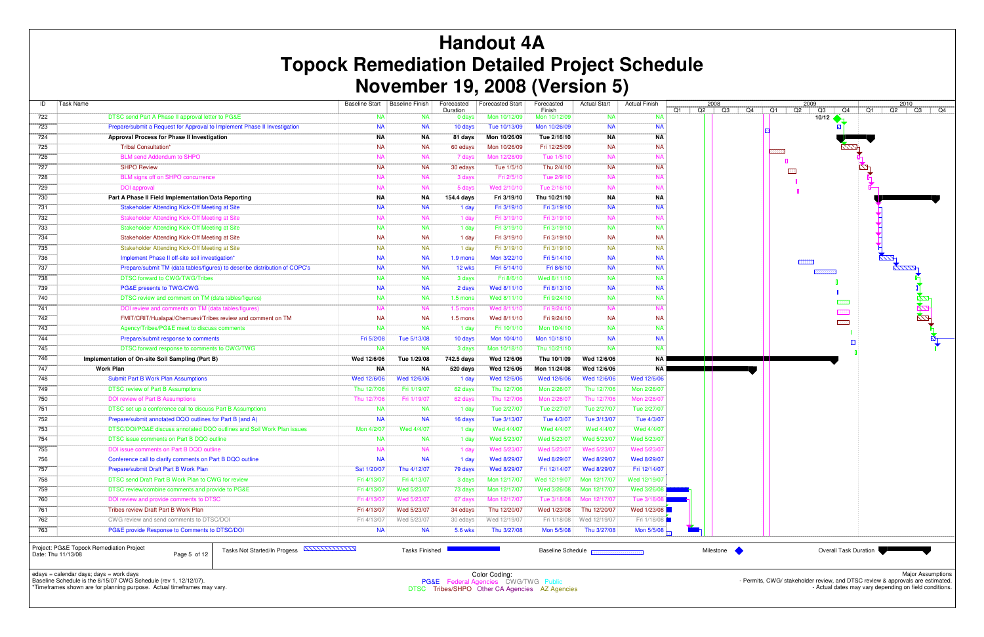| ID  | <b>Task Name</b>                                                           | <b>Baseline Start</b> | <b>Baseline Finish</b> | Forecasted<br>Duration | <b>Forecasted Start</b> | Forecasted<br>Finish | <b>Actual Start</b> | <b>Actual Finish</b> | 2008<br>Q2<br>Q1 |
|-----|----------------------------------------------------------------------------|-----------------------|------------------------|------------------------|-------------------------|----------------------|---------------------|----------------------|------------------|
| 722 | DTSC send Part A Phase II approval letter to PG&E                          | <b>NA</b>             | <b>NA</b>              | 0 days                 | Mon 10/12/09            | Mon 10/12/09         | <b>NA</b>           | <b>NA</b>            |                  |
| 723 | Prepare/submit a Request for Approval to Implement Phase II Investigation  | <b>NA</b>             | <b>NA</b>              | 10 days                | Tue 10/13/09            | Mon 10/26/09         | <b>NA</b>           | <b>NA</b>            |                  |
| 724 | Approval Process for Phase II Investigation                                | ΝA                    | <b>NA</b>              | 81 days                | Mon 10/26/09            | Tue 2/16/10          | ΝA                  | <b>NA</b>            |                  |
| 725 | Tribal Consultation*                                                       | <b>NA</b>             | <b>NA</b>              | 60 edays               | Mon 10/26/09            | Fri 12/25/09         | <b>NA</b>           | <b>NA</b>            |                  |
| 726 | <b>BLM send Addendum to SHPO</b>                                           | <b>NA</b>             | <b>NA</b>              | 7 days                 | Mon 12/28/09            | Tue 1/5/10           | <b>NA</b>           | <b>NA</b>            |                  |
| 727 | <b>SHPO Review</b>                                                         | <b>NA</b>             | <b>NA</b>              | 30 edays               | Tue 1/5/10              | Thu 2/4/10           | <b>NA</b>           | <b>NA</b>            |                  |
| 728 | BLM signs off on SHPO concurrence                                          | <b>NA</b>             | <b>NA</b>              | 3 days                 | Fri 2/5/10              | Tue 2/9/10           | <b>NA</b>           | <b>NA</b>            |                  |
| 729 | <b>DOI</b> approval                                                        | <b>NA</b>             | <b>NA</b>              | 5 days                 | Wed 2/10/10             | Tue 2/16/10          | <b>NA</b>           | <b>NA</b>            |                  |
| 730 | Part A Phase II Field Implementation/Data Reporting                        | ΝA                    | ΝA                     | 154.4 days             | Fri 3/19/10             | Thu 10/21/10         | ΝA                  | <b>NA</b>            |                  |
| 731 | <b>Stakeholder Attending Kick-Off Meeting at Site</b>                      | <b>NA</b>             | <b>NA</b>              | 1 day                  | Fri 3/19/10             | Fri 3/19/10          | <b>NA</b>           | <b>NA</b>            |                  |
| 732 | Stakeholder Attending Kick-Off Meeting at Site                             | <b>NA</b>             | <b>NA</b>              | 1 day                  | Fri 3/19/10             | Fri 3/19/10          | <b>NA</b>           | <b>NA</b>            |                  |
| 733 | Stakeholder Attending Kick-Off Meeting at Site                             | <b>NA</b>             | <b>NA</b>              | 1 day                  | Fri 3/19/10             | Fri 3/19/10          | <b>NA</b>           | <b>NA</b>            |                  |
| 734 | Stakeholder Attending Kick-Off Meeting at Site                             | <b>NA</b>             | <b>NA</b>              | 1 day                  | Fri 3/19/10             | Fri 3/19/10          | <b>NA</b>           | <b>NA</b>            |                  |
| 735 | Stakeholder Attending Kick-Off Meeting at Site                             | <b>NA</b>             | <b>NA</b>              | 1 day                  | Fri 3/19/10             | Fri 3/19/10          | <b>NA</b>           | <b>NA</b>            |                  |
| 736 | Implement Phase II off-site soil investigation*                            | <b>NA</b>             | <b>NA</b>              | 1.9 mons               | Mon 3/22/10             | Fri 5/14/10          | <b>NA</b>           | <b>NA</b>            |                  |
| 737 | Prepare/submit TM (data tables/figures) to describe distribution of COPC's | <b>NA</b>             | <b>NA</b>              | 12 wks                 | Fri 5/14/10             | Fri 8/6/10           | <b>NA</b>           | <b>NA</b>            |                  |
| 738 | DTSC forward to CWG/TWG/Tribes                                             | <b>NA</b>             | <b>NA</b>              | 3 days                 | Fri 8/6/10              | Wed 8/11/10          | <b>NA</b>           | <b>NA</b>            |                  |
| 739 | PG&E presents to TWG/CWG                                                   | <b>NA</b>             | <b>NA</b>              | 2 days                 | Wed 8/11/10             | Fri 8/13/10          | <b>NA</b>           | <b>NA</b>            |                  |
| 740 | DTSC review and comment on TM (data tables/figures)                        | <b>NA</b>             | <b>NA</b>              | $1.5$ mons             | Wed 8/11/10             | Fri 9/24/10          | <b>NA</b>           | <b>NA</b>            |                  |
| 741 | DOI review and comments on TM (data tables/figures)                        | <b>NA</b>             | <b>NA</b>              | $1.5$ mons             | Wed 8/11/10             | Fri 9/24/10          | <b>NA</b>           | <b>NA</b>            |                  |
| 742 | FMIT/CRIT/Hualapai/Chemuevi/Tribes review and comment on TM                | <b>NA</b>             | <b>NA</b>              | $1.5$ mons             | Wed 8/11/10             | Fri 9/24/10          | <b>NA</b>           | <b>NA</b>            |                  |
| 743 | Agency/Tribes/PG&E meet to discuss comments                                | <b>NA</b>             | <b>NA</b>              | 1 day                  | Fri 10/1/10             | Mon 10/4/10          | <b>NA</b>           | <b>NA</b>            |                  |
| 744 | Prepare/submit response to comments                                        | Fri 5/2/08            | Tue 5/13/08            | 10 days                | Mon 10/4/10             | Mon 10/18/10         | <b>NA</b>           | <b>NA</b>            |                  |
| 745 | DTSC forward response to comments to CWG/TWG                               | <b>NA</b>             | <b>NA</b>              | 3 days                 | Mon 10/18/10            | Thu 10/21/10         | <b>NA</b>           | <b>NA</b>            |                  |
| 746 | Implementation of On-site Soil Sampling (Part B)                           | Wed 12/6/06           | Tue 1/29/08            | 742.5 days             | Wed 12/6/06             | Thu 10/1/09          | Wed 12/6/06         | <b>NA</b>            |                  |
| 747 | <b>Work Plan</b>                                                           | ΝA                    | ΝA                     | 520 days               | Wed 12/6/06             | Mon 11/24/08         | Wed 12/6/06         | <b>NA</b>            | an an an S       |
| 748 | <b>Submit Part B Work Plan Assumptions</b>                                 | Wed 12/6/06           | Wed 12/6/06            | 1 day                  | Wed 12/6/06             | Wed 12/6/06          | Wed 12/6/06         | Wed 12/6/06          |                  |
| 749 | <b>DTSC review of Part B Assumptions</b>                                   | Thu 12/7/06           | Fri 1/19/07            | 62 days                | Thu 12/7/06             | Mon 2/26/07          | Thu 12/7/06         | Mon 2/26/07          |                  |
| 750 | DOI review of Part B Assumptions                                           | Thu 12/7/06           | Fri 1/19/07            | 62 days                | Thu 12/7/06             | Mon 2/26/07          | Thu 12/7/06         | Mon 2/26/0           |                  |
| 751 | DTSC set up a conference call to discuss Part B Assumptions                | <b>NA</b>             | <b>NA</b>              | 1 day                  | Tue 2/27/07             | Tue 2/27/07          | Tue 2/27/07         | Tue 2/27/07          |                  |
| 752 | Prepare/submit annotated DQO outlines for Part B (and A)                   | <b>NA</b>             | <b>NA</b>              | 16 days                | Tue 3/13/07             | Tue 4/3/07           | Tue 3/13/07         | Tue 4/3/07           |                  |
| 753 | DTSC/DOI/PG&E discuss annotated DQO outlines and Soil Work Plan issues     | Mon 4/2/07            | Wed 4/4/07             | 1 day                  | Wed 4/4/07              | Wed 4/4/07           | Wed 4/4/07          | Wed 4/4/07           |                  |
|     |                                                                            |                       |                        | 1 day                  | Wed 5/23/07             | Wed 5/23/07          | Wed 5/23/07         | Wed 5/23/07          |                  |
| 754 | DTSC issue comments on Part B DQO outline                                  | <b>NA</b>             | <b>NA</b>              |                        |                         |                      |                     |                      |                  |
| 755 | DOI issue comments on Part B DQO outline                                   | <b>NA</b>             | <b>NA</b>              | 1 day                  | Wed 5/23/07             | Wed 5/23/07          | Wed 5/23/07         | Wed 5/23/0           |                  |
| 756 | Conference call to clarify comments on Part B DQO outline                  | <b>NA</b>             | <b>NA</b>              | 1 day                  | Wed 8/29/07             | Wed 8/29/07          | Wed 8/29/07         | Wed 8/29/07          |                  |
| 757 | Prepare/submit Draft Part B Work Plan                                      | Sat 1/20/07           | Thu 4/12/07            | 79 days                | Wed 8/29/07             | Fri 12/14/07         | Wed 8/29/07         | Fri 12/14/07         |                  |
| 758 | DTSC send Draft Part B Work Plan to CWG for review                         | Fri 4/13/07           | Fri 4/13/07            | 3 days                 | Mon 12/17/07            | Wed 12/19/07         | Mon 12/17/07        | Wed 12/19/07         |                  |
| 759 | DTSC review/combine comments and provide to PG&E                           | Fri 4/13/07           | Wed 5/23/07            | 73 days                | Mon 12/17/07            | Wed 3/26/08          | Mon 12/17/07        | Wed 3/26/08          |                  |
| 760 | DOI review and provide comments to DTSC                                    | Fri 4/13/07           | Wed 5/23/07            | 67 days                | Mon 12/17/07            | Tue 3/18/08          | Mon 12/17/07        | Tue 3/18/08          |                  |
| 761 | Tribes review Draft Part B Work Plan                                       | Fri 4/13/07           | Wed 5/23/07            | 34 edays               | Thu 12/20/07            | Wed 1/23/08          | Thu 12/20/07        | Wed 1/23/08          |                  |
| 762 | CWG review and send comments to DTSC/DOI                                   | Fri 4/13/07           | Wed 5/23/07            | 30 edays               | Wed 12/19/07            | Fri 1/18/08          | Wed 12/19/07        | Fri 1/18/08          |                  |

Project: PG&E Topock Remediation ProjectDate: Thu 11/13/08 Page 5 of 12

# **Handout 4A Topock Remediation Detailed Project Schedule November 19, 2008 (Version 5)**

edays = calendar days; days = work days Baseline Schedule is the 8/15/07 CWG Schedule (rev 1, 12/12/07).

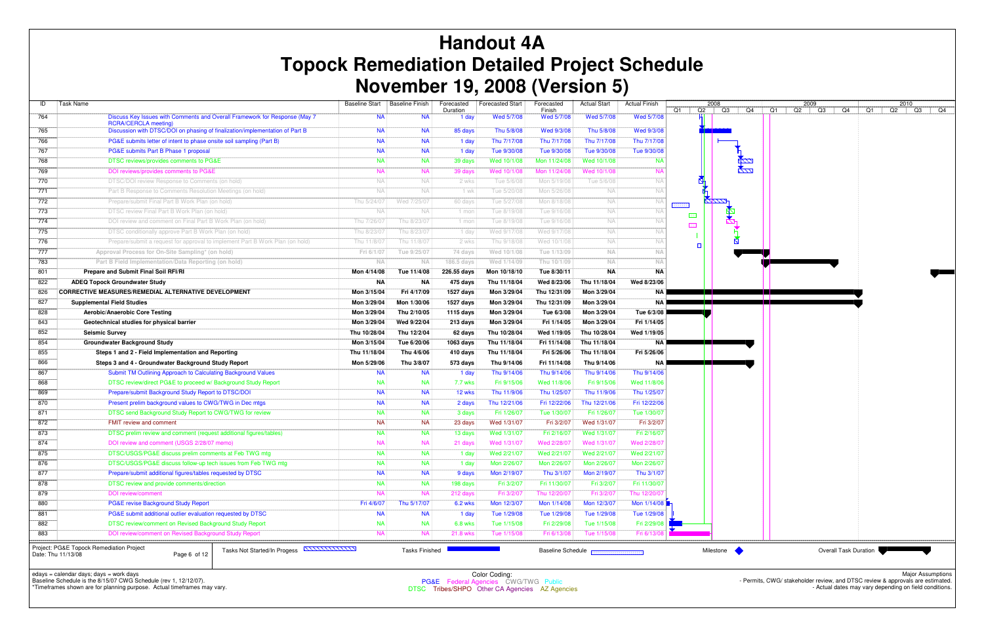| ID                 | Task Name                                                                                                                   |                        | Baseline Start   Baseline Finish | Forecasted          | <b>Forecasted Start</b>    | Forecasted                | <b>Actual Start</b>                    | <b>Actual Finish</b>      |     |   | 2008<br>$Q2$ $Q3$ $\vert$<br>Q4 |      | 2009<br>$Q2$ $Q3$ | Q4                           | Q1 |
|--------------------|-----------------------------------------------------------------------------------------------------------------------------|------------------------|----------------------------------|---------------------|----------------------------|---------------------------|----------------------------------------|---------------------------|-----|---|---------------------------------|------|-------------------|------------------------------|----|
| 764                | Discuss Key Issues with Comments and Overall Framework for Response (May 7                                                  | <b>NA</b>              | <b>NA</b>                        | Duration<br>1 day   | Wed 5/7/08                 | Finish<br>Wed 5/7/08      | Wed 5/7/08                             | Wed 5/7/08                | Q1  |   |                                 | $Q1$ |                   |                              |    |
| 765                | <b>RCRA/CERCLA meeting)</b><br>Discussion with DTSC/DOI on phasing of finalization/implementation of Part B                 | <b>NA</b>              | <b>NA</b>                        | 85 days             | Thu 5/8/08                 | Wed 9/3/08                | Thu 5/8/08                             | Wed 9/3/08                |     |   |                                 |      |                   |                              |    |
| 766                | PG&E submits letter of intent to phase onsite soil sampling (Part B)                                                        | <b>NA</b>              | <b>NA</b>                        | 1 day               | Thu 7/17/08                | Thu 7/17/08               | Thu 7/17/08                            | Thu 7/17/08               |     |   |                                 |      |                   |                              |    |
| 767                | PG&E submits Part B Phase 1 proposal                                                                                        | <b>NA</b>              | <b>NA</b>                        | 1 day               | Tue 9/30/08                | Tue 9/30/08               | Tue 9/30/08                            | Tue 9/30/08               |     |   |                                 |      |                   |                              |    |
| 768                | DTSC reviews/provides comments to PG&E                                                                                      | <b>NA</b>              | <b>NA</b>                        | 39 days             | Wed 10/1/08                | Mon 11/24/08              | Wed 10/1/08                            | -na                       |     |   | $\frac{1}{2}$                   |      |                   |                              |    |
| 769                | DOI reviews/provides comments to PG&E                                                                                       | <b>NA</b>              | <b>NA</b>                        | 39 days             | Wed 10/1/08                | Mon 11/24/08              | Wed 10/1/08                            | <b>NA</b>                 |     |   | <b>K</b> ZZZ                    |      |                   |                              |    |
| 770                | DTSC/DOI review Response to Comments (on hold)                                                                              | NA.                    | NA.                              | 2 wks               | Tue 5/6/08                 | Mon 5/19/08               | Tue 5/6/08                             | <b>NA</b>                 |     |   |                                 |      |                   |                              |    |
| 771                | Part B Response to Comments Resolution Meetings (on hold)                                                                   | NA.                    | NA.                              | 1 wk                | Tue 5/20/08                | Mon 5/26/08               | <b>NA</b>                              | <b>NA</b>                 |     |   |                                 |      |                   |                              |    |
| 772                | Prepare/submit Final Part B Work Plan (on hold)                                                                             | Thu 5/24/07            | Wed 7/25/07                      | 60 days             | Tue 5/27/08                | Mon 8/18/08               | <b>NA</b>                              | <b>NA</b>                 |     |   |                                 |      |                   |                              |    |
| 773                | DTSC review Final Part B Work Plan (on hold)                                                                                | NA.                    | NA.                              | 1 mor               | Tue 8/19/08                | Tue 9/16/08               | NA.                                    | N A                       |     |   |                                 |      |                   |                              |    |
| 774                | DOI review and comment on Final Part B Work Plan (on hold)                                                                  | Thu 7/26/07            | Thu 8/23/07                      | 1 mor               | Tue 8/19/08                | Tue 9/16/08               | <b>NA</b>                              | <b>NA</b>                 | -83 |   |                                 |      |                   |                              |    |
| 775                | DTSC conditionally approve Part B Work Plan (on hold)                                                                       | Thu 8/23/07            | Thu 8/23/07                      | 1 day               | Wed 9/17/08                | Wed 9/17/08               | NA                                     | <b>NA</b>                 | 图   |   |                                 |      |                   |                              |    |
| 776                | Prepare/submit a request for approval to implement Part B Work Plan (on hold)                                               | Thu 11/8/07            | Thu 11/8/07                      | 2 wks               | Thu 9/18/08                | Wed 10/1/08               | <b>NA</b>                              | NA                        |     | n |                                 |      |                   |                              |    |
| 777                | Approval Process for On-Site Sampling* (on hold)                                                                            | Fri 6/1/07             | Tue 9/25/07                      | 74 days             | Wed 10/1/08                | Tue 1/13/09               | <b>NA</b>                              | <b>NA</b>                 |     |   |                                 |      |                   |                              |    |
| 783                | Part B Field Implementation/Data Reporting (on hold)                                                                        | <b>NA</b>              | <b>NA</b>                        | 186.5 days          | Wed 1/14/09                | Thu 10/1/09               | <b>NA</b>                              | <b>NA</b>                 |     |   |                                 |      |                   |                              |    |
| 801                | Prepare and Submit Final Soil RFI/RI                                                                                        | Mon 4/14/08            | Tue 11/4/08                      | 226.55 days         | Mon 10/18/10               | Tue 8/30/11               | NA                                     | NA                        |     |   |                                 |      |                   |                              |    |
| 822                | <b>ADEQ Topock Groundwater Study</b>                                                                                        | <b>NA</b>              | ΝA                               | 475 days            | Thu 11/18/04               | Wed 8/23/06               | Thu 11/18/04                           | Wed 8/23/06               |     |   |                                 |      |                   |                              |    |
| 826                | <b>CORRECTIVE MEASURES/REMEDIAL ALTERNATIVE DEVELOPMENT</b>                                                                 | Mon 3/15/04            | Fri 4/17/09                      | 1527 days           | Mon 3/29/04                | Thu 12/31/09              | Mon 3/29/04                            | <b>NA</b>                 |     |   |                                 |      |                   |                              |    |
| 827                | <b>Supplemental Field Studies</b>                                                                                           | Mon 3/29/04            | Mon 1/30/06                      | 1527 days           | Mon 3/29/04                | Thu 12/31/09              | Mon 3/29/04                            | NA I                      |     |   |                                 |      |                   |                              |    |
| 828                | Aerobic/Anaerobic Core Testing                                                                                              | Mon 3/29/04            | Thu 2/10/05                      | 1115 days           | Mon 3/29/04                | Tue 6/3/08                | Mon 3/29/04                            | Tue 6/3/08                |     |   |                                 |      |                   |                              |    |
| 843                | Geotechnical studies for physical barrier                                                                                   | Mon 3/29/04            | Wed 9/22/04                      | 213 days            | Mon 3/29/04                | Fri 1/14/05               | Mon 3/29/04                            | Fri 1/14/05               |     |   |                                 |      |                   |                              |    |
| 852                | <b>Seismic Survey</b>                                                                                                       | Thu 10/28/04           | Thu 12/2/04                      | 62 days             | Thu 10/28/04               | Wed 1/19/05               | Thu 10/28/04                           | Wed 1/19/05               |     |   |                                 |      |                   |                              |    |
| 854                | <b>Groundwater Background Study</b>                                                                                         | Mon 3/15/04            | Tue 6/20/06                      | 1063 days           | Thu 11/18/04               | Fri 11/14/08              | Thu 11/18/04                           | NA                        |     |   |                                 |      |                   |                              |    |
| 855                | Steps 1 and 2 - Field Implementation and Reporting                                                                          | Thu 11/18/04           | Thu 4/6/06                       | 410 days            | Thu 11/18/04               | Fri 5/26/06               | Thu 11/18/04                           | Fri 5/26/06               |     |   |                                 |      |                   |                              |    |
| 866                | Steps 3 and 4 - Groundwater Background Study Report                                                                         | Mon 5/29/06            | Thu 3/8/07                       | 573 days            | Thu 9/14/06                | Fri 11/14/08              | Thu 9/14/06                            | NA                        |     |   |                                 |      |                   |                              |    |
| 867                | Submit TM Outlining Approach to Calculating Background Values                                                               | <b>NA</b>              | <b>NA</b>                        | 1 day               | Thu 9/14/06                | Thu 9/14/06               | Thu 9/14/06                            | Thu 9/14/06               |     |   |                                 |      |                   |                              |    |
| 868                | DTSC review/direct PG&E to proceed w/ Background Study Report                                                               | <b>NA</b>              | <b>NA</b>                        | 7.7 wks             | Fri 9/15/06                | Wed 11/8/06               | Fri 9/15/06                            | Wed 11/8/06               |     |   |                                 |      |                   |                              |    |
| 869                | Prepare/submit Background Study Report to DTSC/DOI                                                                          | <b>NA</b>              | <b>NA</b>                        | 12 wks              | Thu 11/9/06                | Thu 1/25/07               | Thu 11/9/06                            | Thu 1/25/07               |     |   |                                 |      |                   |                              |    |
| 870                | Present prelim background values to CWG/TWG in Dec mtgs                                                                     | <b>NA</b>              | <b>NA</b>                        | 2 days              | Thu 12/21/06               | Fri 12/22/06              | Thu 12/21/06                           | Fri 12/22/06              |     |   |                                 |      |                   |                              |    |
| 871                | DTSC send Background Study Report to CWG/TWG for review                                                                     | <b>NA</b>              | <b>NA</b>                        | 3 days              | Fri 1/26/07                | Tue 1/30/07               | Fri 1/26/07                            | Tue 1/30/07               |     |   |                                 |      |                   |                              |    |
| 872                | FMIT review and comment                                                                                                     | <b>NA</b>              | <b>NA</b>                        | 23 days             | Wed 1/31/07                | Fri 3/2/07                | Wed 1/31/07                            | Fri 3/2/07                |     |   |                                 |      |                   |                              |    |
| 873                | DTSC prelim review and comment (request additional figures/tables)                                                          | NA                     | <b>NA</b>                        | 13 days             | Wed 1/31/07                | Fri 2/16/07               | Wed 1/31/07                            | Fri 2/16/07               |     |   |                                 |      |                   |                              |    |
| 874                | DOI review and comment (USGS 2/28/07 memo)                                                                                  | <b>NA</b>              | <b>NA</b>                        | 21 days             | Wed 1/31/07                | Wed 2/28/07               | Wed 1/31/07                            | Wed 2/28/0                |     |   |                                 |      |                   |                              |    |
| 875                | DTSC/USGS/PG&E discuss prelim comments at Feb TWG mtg                                                                       | <b>NA</b>              | <b>NA</b>                        | 1 day               | Wed 2/21/07                | Wed 2/21/07               | Wed 2/21/07                            | Wed 2/21/07               |     |   |                                 |      |                   |                              |    |
| 876                | DTSC/USGS/PG&E discuss follow-up tech issues from Feb TWG mtg<br>Prepare/submit additional figures/tables requested by DTSC | <b>NA</b><br><b>NA</b> | <b>NA</b><br><b>NA</b>           | 1 day               | Mon 2/26/07<br>Mon 2/19/07 | Mon 2/26/07<br>Thu 3/1/07 | Mon 2/26/07<br>Mon 2/19/07             | Mon 2/26/07<br>Thu 3/1/07 |     |   |                                 |      |                   |                              |    |
| 877                |                                                                                                                             |                        | <b>NA</b>                        | 9 days<br>198 days  | Fri 3/2/07                 | Fri 11/30/07              | Fri 3/2/07                             | Fri 11/30/07              |     |   |                                 |      |                   |                              |    |
| 878                | DTSC review and provide comments/direction<br><b>DOI</b> review/comment                                                     | <b>NA</b><br><b>NA</b> | <b>NA</b>                        |                     | Fri 3/2/07                 | Thu 12/20/07              | Fri 3/2/07                             | Thu 12/20/0               |     |   |                                 |      |                   |                              |    |
| 879<br>880         | PG&E revise Background Study Report                                                                                         | Fri 4/6/07             | Thu 5/17/07                      | 212 days<br>6.2 wks | Mon 12/3/07                | Mon 1/14/08               | Mon 12/3/07                            | Mon 1/14/08               |     |   |                                 |      |                   |                              |    |
| 881                | PG&E submit additional outlier evaluation requested by DTSC                                                                 | <b>NA</b>              | <b>NA</b>                        | 1 day               | Tue 1/29/08                | Tue 1/29/08               | Tue 1/29/08                            | Tue 1/29/08               |     |   |                                 |      |                   |                              |    |
| 882                | DTSC review/comment on Revised Background Study Report                                                                      | <b>NA</b>              | <b>NA</b>                        | 6.8 wks             | Tue 1/15/08                | Fri 2/29/08               | Tue 1/15/08                            | Fri 2/29/08               |     |   |                                 |      |                   |                              |    |
| 883                | DOI review/comment on Revised Background Study Report                                                                       | <b>NA</b>              | <b>NA</b>                        | 21.8 wks            | Tue 1/15/08                | Fri 6/13/08               | Tue 1/15/08                            | Fri 6/13/0                |     |   |                                 |      |                   |                              |    |
|                    |                                                                                                                             |                        |                                  |                     |                            |                           |                                        |                           |     |   |                                 |      |                   |                              |    |
| Date: Thu 11/13/08 | Project: PG&E Topock Remediation Project<br>Tasks Not Started/In Progess <b>ANNITION</b><br>Page 6 of 12                    |                        | <b>Tasks Finished</b>            |                     |                            |                           | <b>Baseline Schedule EXPRESSERVISH</b> |                           |     |   | Milestone                       |      |                   | <b>Overall Task Duration</b> |    |

# **Handout 4A Topock Remediation Detailed Project Schedule November 19, 2008 (Version 5)**

edays = calendar days; days = work days Baseline Schedule is the 8/15/07 CWG Schedule (rev 1, 12/12/07).

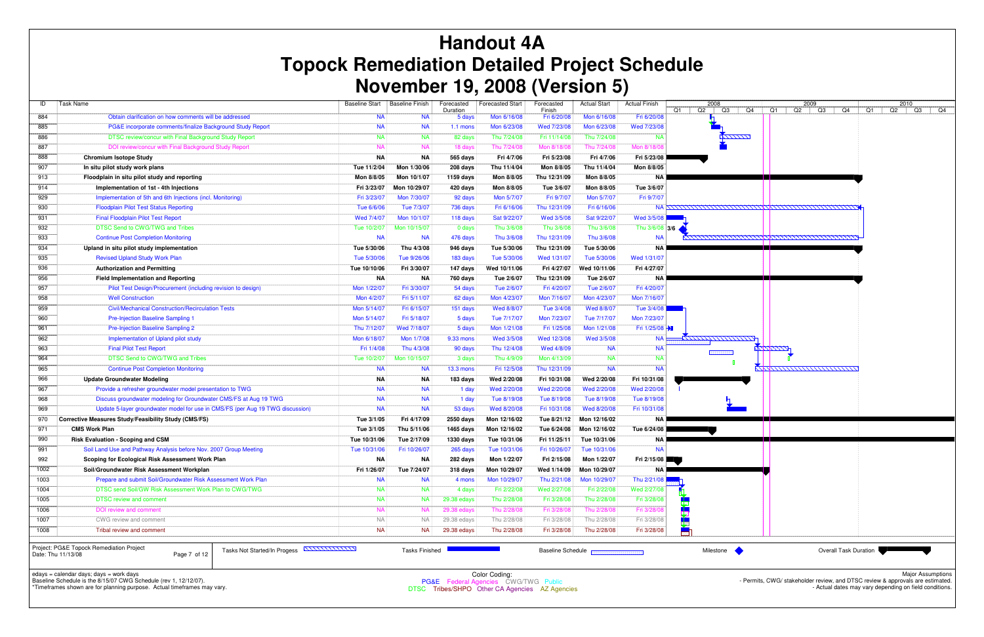| ID                 | <b>Task Name</b>                                                                                 | <b>Baseline Start</b> | Baseline Finish       | Forecasted         | <b>Forecasted Start</b> | Forecasted            | <b>Actual Start</b>                      | <b>Actual Finish</b> | 2008                 | 2009                           |
|--------------------|--------------------------------------------------------------------------------------------------|-----------------------|-----------------------|--------------------|-------------------------|-----------------------|------------------------------------------|----------------------|----------------------|--------------------------------|
| 884                | Obtain clarification on how comments will be addressed                                           | <b>NA</b>             | <b>NA</b>             | Duration<br>5 days | Mon 6/16/08             | Finish<br>Fri 6/20/08 | Mon 6/16/08                              | Fri 6/20/08          | Q2<br>Q3<br>Q4<br>Q1 | Q1<br>Q2<br>Q3<br>Q4<br>Q1     |
| 885                | PG&E incorporate comments/finalize Background Study Report                                       | <b>NA</b>             | <b>NA</b>             | $1.1$ mons         | Mon 6/23/08             | Wed 7/23/08           | Mon 6/23/08                              | Wed 7/23/08          |                      |                                |
| 886                | DTSC review/concur with Final Background Study Report                                            | <b>NA</b>             | <b>NA</b>             | 82 days            | Thu 7/24/08             | Fri 11/14/08          | Thu 7/24/08                              | <b>NA</b>            | <b>AZZZZZZZ</b>      |                                |
| 887                | DOI review/concur with Final Background Study Report                                             | <b>NA</b>             | <b>NA</b>             | 18 days            | Thu 7/24/08             | Mon 8/18/08           | Thu 7/24/08                              | Mon 8/18/0           |                      |                                |
| 888                | <b>Chromium Isotope Study</b>                                                                    | <b>NA</b>             | <b>NA</b>             | 565 days           | Fri 4/7/06              | Fri 5/23/08           | Fri 4/7/06                               | Fri 5/23/08          |                      |                                |
| 907                | In situ pilot study work plans                                                                   | Tue 11/2/04           | Mon 1/30/06           | 208 days           | Thu 11/4/04             | Mon 8/8/05            | Thu 11/4/04                              | Mon 8/8/05           |                      |                                |
| 913                | Floodplain in situ pilot study and reporting                                                     | Mon 8/8/05            | Mon 10/1/07           | 1159 days          | Mon 8/8/05              | Thu 12/31/09          | Mon 8/8/05                               | <b>NA</b>            |                      |                                |
| 914                | Implementation of 1st - 4th Injections                                                           | Fri 3/23/07           | Mon 10/29/07          | 420 days           | Mon 8/8/05              | Tue 3/6/07            | Mon 8/8/05                               | Tue 3/6/07           |                      |                                |
| 929                | Implementation of 5th and 6th Injections (incl. Monitoring)                                      | Fri 3/23/07           | Mon 7/30/07           | 92 days            | Mon 5/7/07              | Fri 9/7/07            | Mon 5/7/07                               | Fri 9/7/07           |                      |                                |
| 930                | <b>Floodplain Pilot Test Status Reporting</b>                                                    | Tue 6/6/06            | Tue 7/3/07            | 736 days           | Fri 6/16/06             | Thu 12/31/09          | Fri 6/16/06                              |                      |                      |                                |
| 931                | <b>Final Floodplain Pilot Test Report</b>                                                        | Wed 7/4/07            | Mon 10/1/07           | 118 days           | Sat 9/22/07             | Wed 3/5/08            | Sat 9/22/07                              | Wed 3/5/08           |                      |                                |
| 932                | DTSC Send to CWG/TWG and Tribes                                                                  | Tue 10/2/07           | Mon 10/15/07          | 0 days             | Thu 3/6/08              | Thu 3/6/08            | Thu 3/6/08                               | Thu $3/6/08$ 3/6     |                      |                                |
| 933                | <b>Continue Post Completion Monitoring</b>                                                       | <b>NA</b>             | <b>NA</b>             | 476 days           | Thu 3/6/08              | Thu 12/31/09          | Thu 3/6/08                               | <b>NA</b>            |                      | <u>AHHHHHHHHHMAANHHHHHHHHH</u> |
| 934                | Upland in situ pilot study implementation                                                        | Tue 5/30/06           | Thu 4/3/08            | 946 days           | Tue 5/30/06             | Thu 12/31/09          | Tue 5/30/06                              | <b>NA</b>            |                      |                                |
| 935                | <b>Revised Upland Study Work Plan</b>                                                            | Tue 5/30/06           | Tue 9/26/06           | 183 days           | Tue 5/30/06             | Wed 1/31/07           | Tue 5/30/06                              | Wed 1/31/07          |                      |                                |
| 936                | <b>Authorization and Permitting</b>                                                              | Tue 10/10/06          | Fri 3/30/07           | 147 days           | Wed 10/11/06            | Fri 4/27/07           | Wed 10/11/06                             | Fri 4/27/07          |                      |                                |
| 956                | <b>Field Implementation and Reporting</b>                                                        | <b>NA</b>             | NA                    | 760 days           | Tue 2/6/07              | Thu 12/31/09          | Tue 2/6/07                               | <b>NA</b>            |                      |                                |
| 957                | Pilot Test Design/Procurement (including revision to design)                                     | Mon 1/22/07           | Fri 3/30/07           | 54 days            | Tue 2/6/07              | Fri 4/20/07           | Tue 2/6/07                               | Fri 4/20/07          |                      |                                |
| 958                | <b>Well Construction</b>                                                                         | Mon 4/2/07            | Fri 5/11/07           | 62 days            | Mon 4/23/07             | Mon 7/16/07           | Mon 4/23/07                              | Mon 7/16/07          |                      |                                |
| 959                | <b>Civil/Mechanical Construction/Recirculation Tests</b>                                         | Mon 5/14/07           | Fri 6/15/07           | 151 days           | Wed 8/8/07              | Tue 3/4/08            | Wed 8/8/07                               | Tue 3/4/08           |                      |                                |
| 960                | <b>Pre-Injection Baseline Sampling 1</b>                                                         | Mon 5/14/07           | Fri 5/18/07           | 5 days             | Tue 7/17/07             | Mon 7/23/07           | Tue 7/17/07                              | Mon 7/23/07          |                      |                                |
| 961                | <b>Pre-Injection Baseline Sampling 2</b>                                                         | Thu 7/12/07           | Wed 7/18/07           | 5 days             | Mon 1/21/08             | Fri 1/25/08           | Mon 1/21/08                              | Fri 1/25/08          |                      |                                |
| 962                | Implementation of Upland pilot study                                                             | Mon 6/18/07           | Mon 1/7/08            | 9.33 mons          | Wed 3/5/08              | Wed 12/3/08           | Wed 3/5/08                               | <b>NA</b>            | <u>KANAN MATATAN</u> |                                |
| 963                | <b>Final Pilot Test Report</b>                                                                   | Fri 1/4/08            | Thu 4/3/08            | 90 days            | Thu 12/4/08             | Wed 4/8/09            | <b>NA</b>                                | <b>NA</b>            |                      | <u> KAAAAA</u>                 |
| 964                | DTSC Send to CWG/TWG and Tribes                                                                  | Tue 10/2/07           | Mon 10/15/07          | 3 days             | Thu 4/9/09              | Mon 4/13/09           | <b>NA</b>                                | <b>NA</b>            |                      |                                |
| 965                | <b>Continue Post Completion Monitoring</b>                                                       | <b>NA</b>             | <b>NA</b>             | <b>13.3 mons</b>   | Fri 12/5/08             | Thu 12/31/09          | <b>NA</b>                                | <b>NA</b>            |                      | <u>Kiximummummum</u>           |
| 966                | <b>Update Groundwater Modeling</b>                                                               | ΝA                    | ΝA                    | 183 days           | Wed 2/20/08             | Fri 10/31/08          | Wed 2/20/08                              | Fri 10/31/08         |                      |                                |
| 967                | Provide a refresher groundwater model presentation to TWG                                        | <b>NA</b>             | <b>NA</b>             | 1 day              | Wed 2/20/08             | Wed 2/20/08           | Wed 2/20/08                              | Wed 2/20/08          |                      |                                |
| 968                | Discuss groundwater modeling for Groundwater CMS/FS at Aug 19 TWG                                | <b>NA</b>             | <b>NA</b>             | 1 day              | Tue 8/19/08             | Tue 8/19/08           | Tue 8/19/08                              | Tue 8/19/08          |                      |                                |
| 969                | Update 5-layer groundwater model for use in CMS/FS (per Aug 19 TWG discussion)                   | <b>NA</b>             | <b>NA</b>             | 53 days            | Wed 8/20/08             | Fri 10/31/08          | Wed 8/20/08                              | Fri 10/31/08         |                      |                                |
| 970                | Corrective Measures Study/Feasibility Study (CMS/FS)                                             | Tue 3/1/05            | Fri 4/17/09           | 2550 days          | Mon 12/16/02            | Tue 8/21/12           | Mon 12/16/02                             | <b>NA</b>            |                      |                                |
| 971                | <b>CMS Work Plan</b>                                                                             | Tue 3/1/05            | Thu 5/11/06           | 1465 days          | Mon 12/16/02            | Tue 6/24/08           | Mon 12/16/02                             | Tue 6/24/08          |                      |                                |
| 990                | <b>Risk Evaluation - Scoping and CSM</b>                                                         | Tue 10/31/06          | Tue 2/17/09           | 1330 days          | Tue 10/31/06            | Fri 11/25/11          | Tue 10/31/06                             | <b>NA</b>            |                      |                                |
| 991                | Soil Land Use and Pathway Analysis before Nov. 2007 Group Meeting                                | Tue 10/31/06          | Fri 10/26/07          | 265 days           | Tue 10/31/06            | Fri 10/26/07          | Tue 10/31/06                             | <b>NA</b>            |                      |                                |
| 992                | Scoping for Ecological Risk Assessment Work Plan                                                 | ΝA                    | ΝA                    | 282 days           | Mon 1/22/07             | Fri 2/15/08           | Mon 1/22/07                              | Fri 2/15/08          |                      |                                |
| 1002               | Soil/Groundwater Risk Assessment Workplan                                                        | Fri 1/26/07           | Tue 7/24/07           | 318 days           | Mon 10/29/07            | Wed 1/14/09           | Mon 10/29/07                             | NA <b>L</b>          |                      |                                |
| 1003               | Prepare and submit Soil/Groundwater Risk Assessment Work Plan                                    | <b>NA</b>             | <b>NA</b>             | 4 mons             | Mon 10/29/07            | Thu 2/21/08           | Mon 10/29/07                             | Thu 2/21/08          |                      |                                |
| 1004               | DTSC send Soil/GW Risk Assessment Work Plan to CWG/TWG                                           | <b>NA</b>             | <b>NA</b>             | 4 days             | Fri 2/22/08             | Wed 2/27/08           | Fri 2/22/08                              | Wed 2/27/08          |                      |                                |
| 1005               | <b>DTSC review and comment</b>                                                                   | <b>NA</b>             | <b>NA</b>             | 29.38 edays        | Thu 2/28/08             | Fri 3/28/08           | Thu 2/28/08                              | Fri 3/28/08          |                      |                                |
| 1006               | DOI review and comment                                                                           | <b>NA</b>             | <b>NA</b>             | 29.38 edays        | Thu 2/28/08             | Fri 3/28/08           | Thu 2/28/08                              | Fri 3/28/08          |                      |                                |
| 1007               | CWG review and comment                                                                           | <b>NA</b>             | <b>NA</b>             | 29.38 edays        | Thu 2/28/08             | Fri 3/28/08           | Thu 2/28/08                              | Fri 3/28/08          |                      |                                |
| 1008               | Tribal review and comment                                                                        | <b>NA</b>             | <b>NA</b>             | 29.38 edays        | Thu 2/28/08             | Fri 3/28/08           | Thu 2/28/08                              | Fri 3/28/08          |                      |                                |
| Date: Thu 11/13/08 | Project: PG&E Topock Remediation Project<br>Tasks Not Started/In Progess ANNUNUM<br>Page 7 of 12 |                       | <b>Tasks Finished</b> |                    |                         |                       | <b>Baseline Schedule Reconstructions</b> |                      | Milestone            | <b>Overall Task Duration</b>   |

# **Handout 4A Topock Remediation Detailed Project Schedule November 19, 2008 (Version 5)**

edays = calendar days; days = work days Baseline Schedule is the 8/15/07 CWG Schedule (rev 1, 12/12/07).

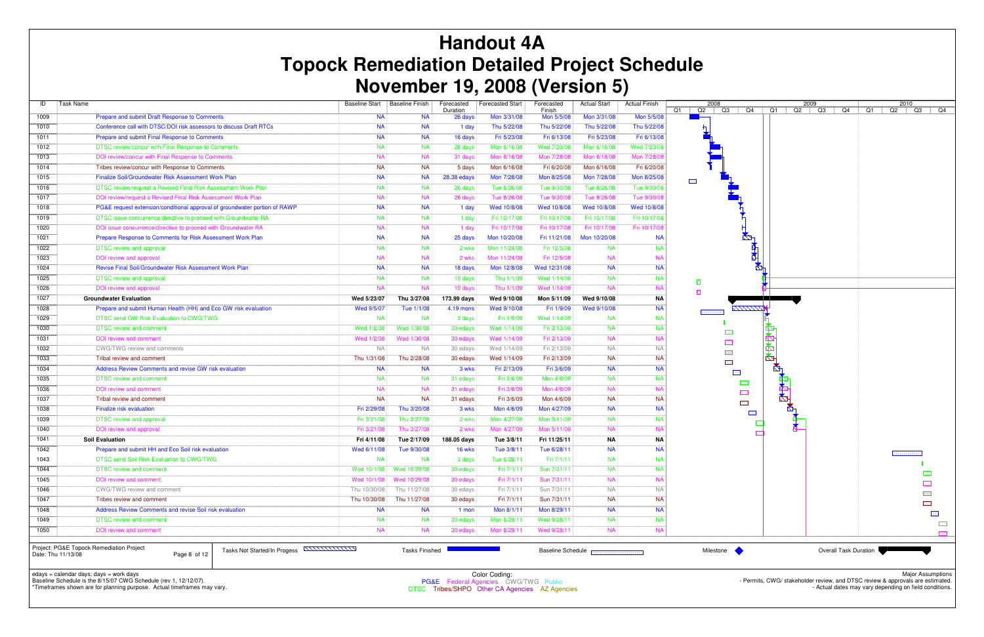| ID   | <b>Task Name</b>                                                                              |              | Baseline Start   Baseline Finish | Forecasted  | <b>Forecasted Start</b> | Forecasted               | <b>Actual Start</b> | <b>Actual Finish</b> |            | 2008                                           |    |      | 2009    |                              |    |
|------|-----------------------------------------------------------------------------------------------|--------------|----------------------------------|-------------|-------------------------|--------------------------|---------------------|----------------------|------------|------------------------------------------------|----|------|---------|------------------------------|----|
|      |                                                                                               |              |                                  | Duration    |                         | Finish                   |                     |                      |            | $Q1$   $Q2$   $Q3$  <br>Q4                     |    | $Q1$ | Q2   Q3 | Q4                           | Q1 |
| 1009 | Prepare and submit Draft Response to Comments                                                 | <b>NA</b>    | <b>NA</b>                        | 26 days     | Mon 3/31/08             | Mon 5/5/08               | Mon 3/31/08         | Mon 5/5/08           |            |                                                |    |      |         |                              |    |
| 1010 | Conference call with DTSC/DOI risk assessors to discuss Draft RTCs                            | <b>NA</b>    | <b>NA</b>                        | 1 day       | Thu 5/22/08             | Thu 5/22/08              | Thu 5/22/08         | Thu 5/22/08          |            |                                                |    |      |         |                              |    |
| 1011 | Prepare and submit Final Response to Comments                                                 | <b>NA</b>    | <b>NA</b>                        | 16 days     | Fri 5/23/08             | Fri 6/13/08              | Fri 5/23/08         | Fri 6/13/08          |            |                                                |    |      |         |                              |    |
| 1012 | DTSC review/concur with Final Response to Comments                                            | <b>NA</b>    | <b>NA</b>                        | 28 days     | Mon 6/16/08             | Wed 7/23/08              | Mon 6/16/08         | Wed 7/23/08          |            |                                                |    |      |         |                              |    |
| 1013 | DOI review/concur with Final Response to Comments                                             | <b>NA</b>    | <b>NA</b>                        | 31 days     | Mon 6/16/08             | Mon 7/28/08              | Mon 6/16/08         | Mon 7/28/0           |            |                                                |    |      |         |                              |    |
| 1014 | Tribes review/concur with Response to Comments                                                | <b>NA</b>    | <b>NA</b>                        | 5 days      | Mon 6/16/08             | Fri 6/20/08              | Mon 6/16/08         | Fri 6/20/08          |            |                                                |    |      |         |                              |    |
| 1015 | Finalize Soil/Groundwater Risk Assessment Work Plan                                           | <b>NA</b>    | <b>NA</b>                        | 28.38 edays | Mon 7/28/08             | Mon 8/25/08              | Mon 7/28/08         | Mon 8/25/08          | <b>EEI</b> |                                                |    |      |         |                              |    |
| 1016 | DTSC review/request a Revised Final Risk Assessment Work Plan                                 | <b>NA</b>    | <b>NA</b>                        | 26 days     | Tue 8/26/08             | Tue 9/30/08              | Tue 8/26/08         | Tue 9/30/08          |            |                                                |    |      |         |                              |    |
| 1017 | DOI review/request a Revised Final Risk Assessment Work Plan                                  | <b>NA</b>    | <b>NA</b>                        | 26 days     | Tue 8/26/08             | Tue 9/30/08              | Tue 8/26/08         | Tue 9/30/0           |            |                                                |    |      |         |                              |    |
| 1018 | PG&E request extension/conditional approval of groundwater portion of RAWP                    | <b>NA</b>    | <b>NA</b>                        | 1 day       | Wed 10/8/08             | Wed 10/8/08              | Wed 10/8/08         | Wed 10/8/08          |            |                                                |    |      |         |                              |    |
| 1019 | DTSC issue concurrence/directive to proceed with Groundwater RA                               | <b>NA</b>    | <b>NA</b>                        | 1 day       | Fri 10/17/08            | Fri 10/17/08             | Fri 10/17/08        | Fri 10/17/08         |            |                                                |    |      |         |                              |    |
| 1020 | DOI issue concurrence/directive to proceed with Groundwater RA                                | <b>NA</b>    | <b>NA</b>                        | 1 day       | Fri 10/17/08            | Fri 10/17/08             | Fri 10/17/08        | Fri 10/17/0          |            |                                                |    |      |         |                              |    |
| 1021 | Prepare Response to Comments for Risk Assessment Work Plan                                    | <b>NA</b>    | <b>NA</b>                        | 25 days     | Mon 10/20/08            | Fri 11/21/08             | Mon 10/20/08        | <b>NA</b>            |            | $\mathbf{z}$                                   |    |      |         |                              |    |
| 1022 | <b>DTSC review and approval</b>                                                               | <b>NA</b>    | <b>NA</b>                        | 2 wks       | Mon 11/24/08            | Fri 12/5/08              | <b>NA</b>           | -na                  |            |                                                | ₫⊢ |      |         |                              |    |
| 1023 | <b>DOI</b> review and approval                                                                | <b>NA</b>    | <b>NA</b>                        | 2 wks       | Mon 11/24/08            | Fri 12/5/08              | <b>NA</b>           | <b>NA</b>            |            |                                                |    |      |         |                              |    |
| 1024 | <b>Revise Final Soil/Groundwater Risk Assessment Work Plan</b>                                | <b>NA</b>    | <b>NA</b>                        | 18 days     | Mon 12/8/08             | Wed 12/31/08             | <b>NA</b>           | <b>NA</b>            |            |                                                | ⊠⊦ |      |         |                              |    |
| 1025 | <b>DTSC review and approval</b>                                                               | <b>NA</b>    | <b>NA</b>                        | 10 days     | Thu 1/1/09              | Wed 1/14/09              | <b>NA</b>           | <b>NA</b>            |            |                                                |    |      |         |                              |    |
| 1026 | DOI review and approval                                                                       | <b>NA</b>    | N <sub>A</sub>                   | 10 days     | Thu 1/1/09              | Wed 1/14/09              | <b>NA</b>           | NA                   | $\Box$     |                                                |    |      |         |                              |    |
| 1027 | <b>Groundwater Evaluation</b>                                                                 | Wed 5/23/07  | Thu 3/27/08                      | 173.99 days | Wed 9/10/08             | Mon 5/11/09              | Wed 9/10/08         | <b>NA</b>            | $\Box$     |                                                |    |      |         |                              |    |
| 1028 | Prepare and submit Human Health (HH) and Eco GW risk evaluation                               | Wed 9/5/07   | Tue 1/1/08                       | 4.19 mons   | Wed 9/10/08             | Fri 1/9/09               | Wed 9/10/08         | <b>NA</b>            |            | <b>KITTITIN</b>                                |    |      |         |                              |    |
| 1029 | DTSC send GW Risk Evaluation to CWG/TWG                                                       | <b>NA</b>    | <b>NA</b>                        | 3 days      | Fri 1/9/09              | Wed 1/14/09              | <b>NA</b>           | <b>NA</b>            |            |                                                |    |      |         |                              |    |
| 1030 | <b>DTSC review and comment</b>                                                                | Wed 1/2/08   | Wed 1/30/08                      | 30 edays    | Wed 1/14/09             | Fri 2/13/09              | <b>NA</b>           | <b>NA</b>            |            |                                                |    |      |         |                              |    |
| 1031 | DOI review and comment                                                                        | Wed 1/2/08   | Wed 1/30/08                      | 30 edays    | Wed 1/14/09             | Fri 2/13/09              | <b>NA</b>           | NA                   |            | BB                                             |    |      |         |                              |    |
| 1032 | CWG/TWG review and comments                                                                   | <b>NA</b>    | <b>NA</b>                        | 30 edays    | Wed 1/14/09             | Fri 2/13/09              | <b>NA</b>           | <b>NA</b>            |            | <b>BEE</b>                                     | R. |      |         |                              |    |
| 1033 | Tribal review and comment                                                                     | Thu 1/31/08  | Thu 2/28/08                      | 30 edays    | Wed 1/14/09             | Fri 2/13/09              | <b>NA</b>           | <b>NA</b>            |            | $\overline{\phantom{a}}$                       | ¥  |      |         |                              |    |
| 1034 | Address Review Comments and revise GW risk evaluation                                         | <b>NA</b>    | <b>NA</b>                        | 3 wks       | Fri 2/13/09             | Fri 3/6/09               | <b>NA</b>           | <b>NA</b>            |            | EEE                                            |    | Ň.   |         |                              |    |
| 1035 | <b>DTSC review and comment</b>                                                                | <b>NA</b>    | <b>NA</b>                        | 31 edays    | Fri 3/6/09              | Mon 4/6/09               | <b>NA</b>           | <b>NA</b>            |            | 團                                              |    | 42   |         |                              |    |
| 1036 | DOI review and comment                                                                        | <b>NA</b>    | <b>NA</b>                        | 31 edays    | Fri 3/6/09              | Mon 4/6/09               | <b>NA</b>           | <b>NA</b>            |            | - 83                                           |    |      |         |                              |    |
| 1037 | Tribal review and comment                                                                     | <b>NA</b>    | <b>NA</b>                        | 31 edays    | Fri 3/6/09              | Mon 4/6/09               | <b>NA</b>           | <b>NA</b>            |            | $\begin{bmatrix} 0 & 0 \\ 0 & 0 \end{bmatrix}$ |    | ⊠    |         |                              |    |
| 1038 | <b>Finalize risk evaluation</b>                                                               | Fri 2/29/08  | Thu 3/20/08                      | 3 wks       | Mon 4/6/09              | Mon 4/27/09              | <b>NA</b>           | <b>NA</b>            |            | 图图                                             |    |      |         |                              |    |
| 1039 | <b>DTSC review and approval</b>                                                               | Fri 3/21/08  | Thu 3/27/08                      | 2 wks       | Mon 4/27/09             | Mon 5/11/09              | <b>NA</b>           | -na                  |            | E3                                             |    |      |         |                              |    |
| 1040 | DOI review and approval                                                                       | Fri 3/21/08  | Thu 3/27/08                      | 2 wks       | Mon 4/27/09             | Mon 5/11/09              | <b>NA</b>           | N                    |            |                                                |    |      |         |                              |    |
|      |                                                                                               |              |                                  |             |                         |                          |                     |                      |            |                                                |    |      |         |                              |    |
| 1041 | <b>Soil Evaluation</b><br>Prepare and submit HH and Eco Soil risk evaluation                  | Fri 4/11/08  | Tue 2/17/09                      | 188.05 days | Tue 3/8/11              | Fri 11/25/11             | ΝA                  | ΝA<br><b>NA</b>      |            |                                                |    |      |         |                              |    |
| 1042 |                                                                                               | Wed 6/11/08  | Tue 9/30/08                      | 16 wks      | Tue 3/8/11              | Tue 6/28/11              | <b>NA</b>           |                      |            |                                                |    |      |         |                              |    |
| 1043 | DTSC send Soil Risk Evaluation to CWG/TWG                                                     | NA           | <b>NA</b>                        | 3 days      | Tue 6/28/11             | Fri 7/1/11               | <b>NA</b>           | <b>NA</b>            |            |                                                |    |      |         |                              |    |
| 1044 | <b>DTSC review and comment</b>                                                                | Wed 10/1/08  | Wed 10/29/08                     | 30 edays    | Fri 7/1/11              | Sun 7/31/11              | <b>NA</b>           | <b>NA</b>            |            |                                                |    |      |         |                              |    |
| 1045 | DOI review and comment                                                                        |              | Wed 10/1/08 Wed 10/29/08         | 30 edays    | Fri 7/1/11              | Sun 7/31/11              | <b>NA</b>           | <b>NA</b>            |            |                                                |    |      |         |                              |    |
| 1046 | CWG/TWG review and comment                                                                    | Thu 10/30/08 | Thu 11/27/08                     | 30 edays    | Fri 7/1/11              | Sun 7/31/11              | <b>NA</b>           | <b>NA</b>            |            |                                                |    |      |         |                              |    |
| 1047 | Tribes review and comment                                                                     | Thu 10/30/08 | Thu 11/27/08                     | 30 edays    | Fri 7/1/11              | Sun 7/31/11              | <b>NA</b>           | <b>NA</b>            |            |                                                |    |      |         |                              |    |
| 1048 | Address Review Comments and revise Soil risk evaluation                                       | <b>NA</b>    | <b>NA</b>                        | 1 mon       | Mon 8/1/11              | Mon 8/29/11              | <b>NA</b>           | <b>NA</b>            |            |                                                |    |      |         |                              |    |
| 1049 | <b>DTSC review and comment</b>                                                                | NA           | <b>NA</b>                        | 30 edays    | Mon 8/29/11             | Wed 9/28/11              | <b>NA</b>           | <b>NA</b>            |            |                                                |    |      |         |                              |    |
| 1050 | DOI review and comment                                                                        | <b>NA</b>    | <b>NA</b>                        | 30 edays    | Mon 8/29/11             | Wed 9/28/11              | <b>NA</b>           | <b>NA</b>            |            |                                                |    |      |         |                              |    |
|      | Project: PG&E Topock Remediation Project<br>Tasks Not Started/In Progess <b>ANITIIIIIIIII</b> |              | <b>Tasks Finished</b>            |             |                         | <b>Baseline Schedule</b> |                     |                      |            | Milestone                                      |    |      |         | <b>Overall Task Duration</b> |    |

# **Handout 4A Topock Remediation Detailed Project Schedule November 19, 2008 (Version 5)**

edays = calendar days; days = work days Baseline Schedule is the 8/15/07 CWG Schedule (rev 1, 12/12/07).



\*Timeframes shown are for planning purpose. Actual timeframes may vary.

Date: Thu 11/13/08 Page 8 of 12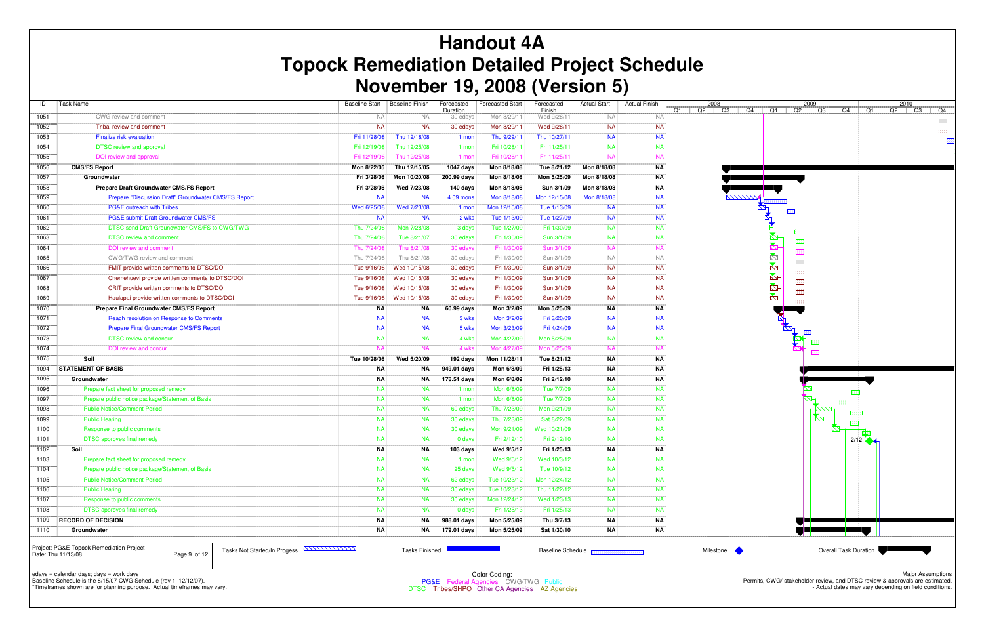| ID   | Task Name                                            | <b>Baseline Start</b>                 | <b>Baseline Finish</b> | Forecasted<br>Duration | <b>Forecasted Start</b> | Forecasted<br>Finish     | <b>Actual Start</b> | <b>Actual Finish</b> | 2008<br>Q2<br>Q1 |
|------|------------------------------------------------------|---------------------------------------|------------------------|------------------------|-------------------------|--------------------------|---------------------|----------------------|------------------|
| 1051 | CWG review and comment                               | <b>NA</b>                             | <b>NA</b>              | 30 edays               | Mon 8/29/11             | Wed 9/28/11              | <b>NA</b>           | <b>NA</b>            |                  |
| 1052 | Tribal review and comment                            | <b>NA</b>                             | <b>NA</b>              | 30 edays               | Mon 8/29/11             | Wed 9/28/11              | <b>NA</b>           | <b>NA</b>            |                  |
| 1053 | Finalize risk evaluation                             | Fri 11/28/08                          | Thu 12/18/08           | 1 mon                  | Thu 9/29/11             | Thu 10/27/11             | <b>NA</b>           | <b>NA</b>            |                  |
| 1054 | <b>DTSC</b> review and approval                      | Fri 12/19/08                          | Thu 12/25/08           | 1 mon                  | Fri 10/28/11            | Fri 11/25/11             | <b>NA</b>           | <b>NA</b>            |                  |
| 1055 | DOI review and approval                              | Fri 12/19/08                          | Thu 12/25/08           | 1 mon                  | Fri 10/28/11            | Fri 11/25/11             | <b>NA</b>           | <b>NA</b>            |                  |
| 1056 | <b>CMS/FS Report</b>                                 | Mon 8/22/05                           | Thu 12/15/05           | 1047 days              | Mon 8/18/08             | Tue 8/21/12              | Mon 8/18/08         | ΝA                   |                  |
| 1057 | Groundwater                                          | Fri 3/28/08                           | Mon 10/20/08           | 200.99 days            | Mon 8/18/08             | Mon 5/25/09              | Mon 8/18/08         | ΝA                   |                  |
| 1058 | Prepare Draft Groundwater CMS/FS Report              | Fri 3/28/08                           | Wed 7/23/08            | 140 days               | Mon 8/18/08             | Sun 3/1/09               | Mon 8/18/08         | <b>NA</b>            |                  |
| 1059 | Prepare "Discussion Draft" Groundwater CMS/FS Report | <b>NA</b>                             | <b>NA</b>              | 4.09 mons              | Mon 8/18/08             | Mon 12/15/08             | Mon 8/18/08         | <b>NA</b>            |                  |
| 1060 | <b>PG&amp;E outreach with Tribes</b>                 | Wed 6/25/08                           | Wed 7/23/08            | 1 mon                  | Mon 12/15/08            | Tue 1/13/09              | <b>NA</b>           | <b>NA</b>            |                  |
| 1061 | PG&E submit Draft Groundwater CMS/FS                 | <b>NA</b>                             | <b>NA</b>              | 2 wks                  | Tue 1/13/09             | Tue 1/27/09              | <b>NA</b>           | <b>NA</b>            |                  |
| 1062 | DTSC send Draft Groundwater CMS/FS to CWG/TWG        | Thu 7/24/08                           | Mon 7/28/08            | 3 days                 | Tue 1/27/09             | Fri 1/30/09              | <b>NA</b>           | <b>NA</b>            |                  |
| 1063 | <b>DTSC</b> review and comment                       | Thu 7/24/08                           | Tue 8/21/07            | 30 edays               | Fri 1/30/09             | Sun 3/1/09               | <b>NA</b>           | <b>NA</b>            |                  |
| 1064 | DOI review and comment                               | Thu 7/24/08                           | Thu 8/21/08            | 30 edays               | Fri 1/30/09             | Sun 3/1/09               | <b>NA</b>           | <b>NA</b>            |                  |
| 1065 | CWG/TWG review and comment                           | Thu 7/24/08                           | Thu 8/21/08            | 30 edays               | Fri 1/30/09             | Sun 3/1/09               | <b>NA</b>           | <b>NA</b>            |                  |
| 1066 | FMIT provide written comments to DTSC/DOI            | Tue 9/16/08                           | Wed 10/15/08           | 30 edays               | Fri 1/30/09             | Sun 3/1/09               | <b>NA</b>           | <b>NA</b>            |                  |
| 1067 | Chemehuevi provide written comments to DTSC/DOI      | Tue 9/16/08                           | Wed 10/15/08           | 30 edays               | Fri 1/30/09             | Sun 3/1/09               | <b>NA</b>           | <b>NA</b>            |                  |
| 1068 | CRIT provide written comments to DTSC/DOI            | Tue 9/16/08                           | Wed 10/15/08           | 30 edays               | Fri 1/30/09             | Sun 3/1/09               | <b>NA</b>           | <b>NA</b>            |                  |
| 1069 | Haulapai provide written comments to DTSC/DOI        | Tue 9/16/08                           | Wed 10/15/08           | 30 edays               | Fri 1/30/09             | Sun 3/1/09               | <b>NA</b>           | <b>NA</b>            |                  |
| 1070 | Prepare Final Groundwater CMS/FS Report              | <b>NA</b>                             | ΝA                     | 60.99 days             | Mon 3/2/09              | Mon 5/25/09              | ΝA                  | <b>NA</b>            |                  |
| 1071 | Reach resolution on Response to Comments             | <b>NA</b>                             | <b>NA</b>              | 3 wks                  | Mon 3/2/09              | Fri 3/20/09              | <b>NA</b>           | <b>NA</b>            |                  |
| 1072 | Prepare Final Groundwater CMS/FS Report              | <b>NA</b>                             | <b>NA</b>              | 5 wks                  | Mon 3/23/09             | Fri 4/24/09              | <b>NA</b>           | <b>NA</b>            |                  |
| 1073 | <b>DTSC review and concur</b>                        | <b>NA</b>                             | <b>NA</b>              | 4 wks                  | Mon 4/27/09             | Mon 5/25/09              | <b>NA</b>           | <b>NA</b>            |                  |
| 1074 | DOI review and concur                                | <b>NA</b>                             | <b>NA</b>              | 4 wks                  | Mon 4/27/09             | Mon 5/25/09              | <b>NA</b>           | <b>NA</b>            |                  |
| 1075 | Soil                                                 | Tue 10/28/08                          | Wed 5/20/09            | 192 days               | Mon 11/28/11            | Tue 8/21/12              | ΝA                  | ΝA                   |                  |
| 1094 | <b>STATEMENT OF BASIS</b>                            | <b>NA</b>                             | ΝA                     | 949.01 days            | Mon 6/8/09              | Fri 1/25/13              | <b>NA</b>           | <b>NA</b>            |                  |
| 1095 | Groundwater                                          | ΝA                                    | ΝA                     | 178.51 days            | Mon 6/8/09              | Fri 2/12/10              | ΝA                  | ΝA                   |                  |
| 1096 | Prepare fact sheet for proposed remedy               | <b>NA</b>                             | <b>NA</b>              | 1 mon                  | Mon 6/8/09              | Tue 7/7/09               | <b>NA</b>           | <b>NA</b>            |                  |
| 1097 | Prepare public notice package/Statement of Basis     | <b>NA</b>                             | <b>NA</b>              | 1 mon                  | Mon 6/8/09              | Tue 7/7/09               | <b>NA</b>           | <b>NA</b>            |                  |
| 1098 | <b>Public Notice/Comment Period</b>                  | <b>NA</b>                             | <b>NA</b>              | 60 edays               | Thu 7/23/09             | Mon 9/21/09              | <b>NA</b>           | <b>NA</b>            |                  |
| 1099 | <b>Public Hearing</b>                                | <b>NA</b>                             | <b>NA</b>              | 30 edays               | Thu 7/23/09             | Sat 8/22/09              | <b>NA</b>           | <b>NA</b>            |                  |
| 1100 | Response to public comments                          | <b>NA</b>                             | <b>NA</b>              | 30 edays               | Mon 9/21/09             | Wed 10/21/09             | <b>NA</b>           | <b>NA</b>            |                  |
| 1101 | <b>DTSC</b> approves final remedy                    | <b>NA</b>                             | <b>NA</b>              | 0 days                 | Fri 2/12/10             | Fri 2/12/10              | <b>NA</b>           | <b>NA</b>            |                  |
| 1102 | Soil                                                 | NA                                    | <b>NA</b>              | 103 days               | Wed 9/5/12              | Fri 1/25/13              | <b>NA</b>           | <b>NA</b>            |                  |
| 1103 | Prepare fact sheet for proposed remedy               | NA.                                   | <b>NA</b>              | 1 mon                  | Wed 9/5/12              | Wed 10/3/12              | <b>NA</b>           | NA.                  |                  |
| 1104 | Prepare public notice package/Statement of Basis     | <b>NA</b>                             | <b>NA</b>              | 25 days                | Wed 9/5/12              | Tue 10/9/12              | <b>NA</b>           | <b>NA</b>            |                  |
| 1105 | <b>Public Notice/Comment Period</b>                  | <b>NA</b>                             | <b>NA</b>              | 62 edays               | Tue 10/23/12            | Mon 12/24/12             | <b>NA</b>           | <b>NA</b>            |                  |
| 1106 | <b>Public Hearing</b>                                | <b>NA</b>                             | <b>NA</b>              | 30 edays               | Tue 10/23/12            | Thu 11/22/12             | <b>NA</b>           | <b>NA</b>            |                  |
| 1107 | Response to public comments                          | <b>NA</b>                             | <b>NA</b>              | 30 edays               | Mon 12/24/12            | Wed 1/23/13              | <b>NA</b>           | <b>NA</b>            |                  |
| 1108 | <b>DTSC</b> approves final remedy                    | <b>NA</b>                             | <b>NA</b>              | 0 days                 | Fri 1/25/13             | Fri 1/25/13              | <b>NA</b>           | <b>NA</b>            |                  |
| 1109 | <b>RECORD OF DECISION</b>                            | ΝA                                    | ΝA                     | 988.01 days            | Mon 5/25/09             | Thu 3/7/13               | ΝA                  | ΝA                   |                  |
| 1110 | Groundwater                                          | ΝA                                    | ΝA                     | 179.01 days            | Mon 5/25/09             | Sat 1/30/10              | ΝA                  | ΝA                   |                  |
|      | Project: PG&E Topock Remediation Project             | Tacke Not Started/In Prognes NWWWITCH | Tocke Einichod         |                        |                         | <b>Bacolina Schodulo</b> |                     |                      | <b>Milocto</b>   |

Date: Thu 11/13/08 Page 9 of 12

## **Handout 4A Topock Remediation Detailed Project Schedule November 19, 2008 (Version 5)**

edays = calendar days; days = work days Baseline Schedule is the 8/15/07 CWG Schedule (rev 1, 12/12/07).



\*Timeframes shown are for planning purpose. Actual timeframes may vary.

Color Coding:<br>PG&E Federal Agencies CWG/TWG Public<br>C. Tribes/SUPO Other CA Agencies AZ Age

DTSC Tribes/SHPO Other CA Agencies AZ Agencies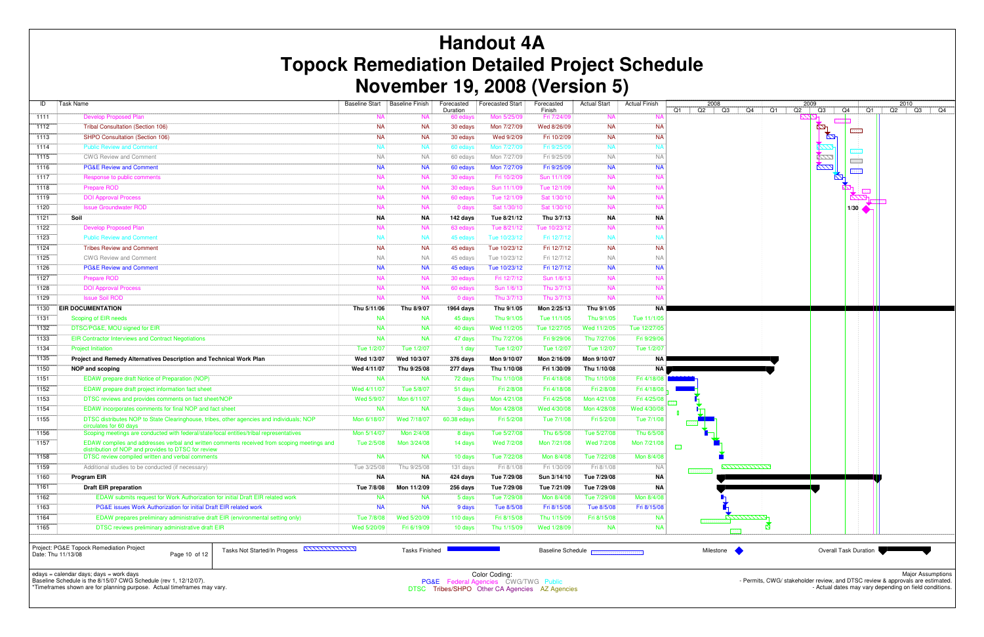| ID   | <b>Task Name</b>                                                                                                                                  | <b>Baseline Start</b> | <b>Baseline Finish</b> | Forecasted           | <b>Forecasted Start</b> | Forecasted            | <b>Actual Start</b> | <b>Actual Finish</b> |            | 2008     |
|------|---------------------------------------------------------------------------------------------------------------------------------------------------|-----------------------|------------------------|----------------------|-------------------------|-----------------------|---------------------|----------------------|------------|----------|
| 1111 | <b>Develop Proposed Plan</b>                                                                                                                      | <b>NA</b>             | <b>NA</b>              | Duration<br>60 edays | Mon 5/25/09             | Finish<br>Fri 7/24/09 | <b>NA</b>           | <b>NA</b>            | Q1         | Q2       |
| 1112 | <b>Tribal Consultation (Section 106)</b>                                                                                                          | <b>NA</b>             | <b>NA</b>              | 30 edays             | Mon 7/27/09             | Wed 8/26/09           | <b>NA</b>           | <b>NA</b>            |            |          |
| 1113 | SHPO Consultation (Section 106)                                                                                                                   | <b>NA</b>             | <b>NA</b>              | 30 edays             | Wed 9/2/09              | Fri 10/2/09           | <b>NA</b>           | <b>NA</b>            |            |          |
| 1114 | <b>Public Review and Comment</b>                                                                                                                  | <b>NA</b>             | <b>NA</b>              | 60 edays             | Mon 7/27/09             | Fri 9/25/09           | <b>NA</b>           | <b>NA</b>            |            |          |
| 1115 | <b>CWG Review and Comment</b>                                                                                                                     | <b>NA</b>             | <b>NA</b>              | 60 edays             | Mon 7/27/09             | Fri 9/25/09           | <b>NA</b>           | <b>NA</b>            |            |          |
| 1116 | <b>PG&amp;E Review and Comment</b>                                                                                                                | <b>NA</b>             | <b>NA</b>              | 60 edays             | Mon 7/27/09             | Fri 9/25/09           | <b>NA</b>           | <b>NA</b>            |            |          |
| 1117 | Response to public comments                                                                                                                       | <b>NA</b>             | <b>NA</b>              | 30 edays             | Fri 10/2/09             | Sun 11/1/09           | <b>NA</b>           | <b>NA</b>            |            |          |
| 1118 | <b>Prepare ROD</b>                                                                                                                                | <b>NA</b>             | <b>NA</b>              | 30 edays             | Sun 11/1/09             | Tue 12/1/09           | <b>NA</b>           | <b>NA</b>            |            |          |
| 1119 | <b>DOI Approval Process</b>                                                                                                                       | <b>NA</b>             | <b>NA</b>              | 60 edays             | Tue 12/1/09             | Sat 1/30/10           | <b>NA</b>           | <b>NA</b>            |            |          |
| 1120 | <b>Issue Groundwater ROD</b>                                                                                                                      | <b>NA</b>             | <b>NA</b>              | 0 days               | Sat 1/30/10             | Sat 1/30/10           | <b>NA</b>           | <b>NA</b>            |            |          |
| 1121 | Soil                                                                                                                                              | <b>NA</b>             | <b>NA</b>              | 142 days             | Tue 8/21/12             | Thu 3/7/13            | <b>NA</b>           | NA                   |            |          |
| 1122 | <b>Develop Proposed Plan</b>                                                                                                                      | <b>NA</b>             | <b>NA</b>              | 63 edays             | Tue 8/21/12             | Tue 10/23/12          | <b>NA</b>           | <b>NA</b>            |            |          |
| 1123 | <b>Public Review and Comment</b>                                                                                                                  | <b>NA</b>             | <b>NA</b>              | 45 edays             | Tue 10/23/12            | Fri 12/7/12           | <b>NA</b>           | <b>NA</b>            |            |          |
| 1124 | <b>Tribes Review and Comment</b>                                                                                                                  | <b>NA</b>             | <b>NA</b>              | 45 edays             | Tue 10/23/12            | Fri 12/7/12           | <b>NA</b>           | <b>NA</b>            |            |          |
| 1125 | <b>CWG Review and Comment</b>                                                                                                                     | <b>NA</b>             | <b>NA</b>              | 45 edays             | Tue 10/23/12            | Fri 12/7/12           | <b>NA</b>           | <b>NA</b>            |            |          |
| 1126 | <b>PG&amp;E Review and Comment</b>                                                                                                                | <b>NA</b>             | <b>NA</b>              | 45 edays             | Tue 10/23/12            | Fri 12/7/12           | <b>NA</b>           | <b>NA</b>            |            |          |
| 1127 | <b>Prepare ROD</b>                                                                                                                                | <b>NA</b>             | <b>NA</b>              | 30 edays             | Fri 12/7/12             | Sun 1/6/13            | <b>NA</b>           | <b>NA</b>            |            |          |
| 1128 | <b>DOI Approval Process</b>                                                                                                                       | <b>NA</b>             | <b>NA</b>              | 60 edays             | Sun 1/6/13              | Thu 3/7/13            | <b>NA</b>           | <b>NA</b>            |            |          |
| 1129 | <b>Issue Soil ROD</b>                                                                                                                             | <b>NA</b>             | <b>NA</b>              | 0 days               | Thu 3/7/13              | Thu 3/7/13            | <b>NA</b>           | <b>NA</b>            |            |          |
| 1130 | <b>EIR DOCUMENTATION</b>                                                                                                                          | Thu 5/11/06           | Thu 8/9/07             | 1964 days            | Thu 9/1/05              | Mon 2/25/13           | Thu 9/1/05          | <b>NA</b>            |            |          |
| 1131 | Scoping of EIR needs                                                                                                                              | <b>NA</b>             | <b>NA</b>              | 45 days              | Thu 9/1/05              | Tue 11/1/05           | Thu 9/1/05          | Tue 11/1/05          |            |          |
| 1132 | DTSC/PG&E, MOU signed for EIR                                                                                                                     | <b>NA</b>             | <b>NA</b>              | 40 days              | Wed 11/2/05             | Tue 12/27/05          | Wed 11/2/05         | Tue 12/27/05         |            |          |
| 1133 | <b>EIR Contractor Interviews and Contract Negotiations</b>                                                                                        | <b>NA</b>             | <b>NA</b>              | 47 days              | Thu 7/27/06             | Fri 9/29/06           | Thu 7/27/06         | Fri 9/29/06          |            |          |
| 1134 | <b>Project Initiation</b>                                                                                                                         | Tue 1/2/07            | Tue 1/2/07             | 1 day                | Tue 1/2/07              | Tue 1/2/07            | Tue 1/2/07          | Tue 1/2/07           |            |          |
| 1135 | Project and Remedy Alternatives Description and Technical Work Plan                                                                               | Wed 1/3/07            | Wed 10/3/07            | 376 days             | Mon 9/10/07             | Mon 2/16/09           | Mon 9/10/07         | <b>NA</b>            |            |          |
| 1150 | NOP and scoping                                                                                                                                   | Wed 4/11/07           | Thu 9/25/08            | 277 days             | Thu 1/10/08             | Fri 1/30/09           | Thu 1/10/08         | NA                   |            |          |
| 1151 | EDAW prepare draft Notice of Preparation (NOP)                                                                                                    | <b>NA</b>             | <b>NA</b>              | 72 days              | Thu 1/10/08             | Fri 4/18/08           | Thu 1/10/08         | Fri 4/18/08          |            |          |
| 1152 | EDAW prepare draft project information fact sheet                                                                                                 | Wed 4/11/07           | Tue 5/8/07             | 51 days              | Fri 2/8/08              | Fri 4/18/08           | Fri 2/8/08          | Fri 4/18/08          |            |          |
| 1153 | DTSC reviews and provides comments on fact sheet/NOP                                                                                              | Wed 5/9/07            | Mon 6/11/07            | 5 days               | Mon 4/21/08             | Fri 4/25/08           | Mon 4/21/08         | Fri 4/25/08          |            |          |
| 1154 | EDAW incorporates comments for final NOP and fact sheet                                                                                           | <b>NA</b>             | <b>NA</b>              | 3 days               | Mon 4/28/08             | Wed 4/30/08           | Mon 4/28/08         | Wed 4/30/08          |            |          |
| 1155 | DTSC distributes NOP to State Clearinghouse, tribes, other agencies and individuals; NOP<br>circulates for 60 days                                | Mon 6/18/07           | Wed 7/18/07            | 60.38 edays          | Fri 5/2/08              | Tue 7/1/08            | Fri 5/2/08          | Tue 7/1/08           |            |          |
| 1156 | Scoping meetings are conducted with federal/state/local entities/tribal representatives                                                           | Mon 5/14/07           | Mon 2/4/08             | 8 days               | Tue 5/27/08             | Thu 6/5/08            | Tue 5/27/08         | Thu 6/5/08           |            |          |
| 1157 | EDAW compiles and addresses verbal and written comments received from scoping meetings and<br>distribution of NOP and provides to DTSC for review | Tue 2/5/08            | Mon 3/24/08            | 14 days              | Wed 7/2/08              | Mon 7/21/08           | Wed 7/2/08          | Mon 7/21/08          | <b>BEE</b> |          |
| 1158 | DTSC review compiled written and verbal comments                                                                                                  | <b>NA</b>             | <b>NA</b>              | 10 days              | Tue 7/22/08             | Mon 8/4/08            | Tue 7/22/08         | Mon 8/4/08           |            |          |
| 1159 | Additional studies to be conducted (if necessary)                                                                                                 | Tue 3/25/08           | Thu 9/25/08            | 131 days             | Fri 8/1/08              | Fri 1/30/09           | Fri 8/1/08          | <b>NA</b>            |            | 55555555 |
| 1160 | <b>Program EIR</b>                                                                                                                                | ΝA                    | ΝA                     | 424 days             | Tue 7/29/08             | Sun 3/14/10           | Tue 7/29/08         | ΝA                   |            |          |
| 1161 | <b>Draft EIR preparation</b>                                                                                                                      | Tue 7/8/08            | Mon 11/2/09            | 256 days             | Tue 7/29/08             | Tue 7/21/09           | Tue 7/29/08         | ΝA                   |            |          |
| 1162 | EDAW submits request for Work Authorization for initial Draft EIR related work                                                                    | <b>NA</b>             | <b>NA</b>              | 5 days               | Tue 7/29/08             | Mon 8/4/08            | Tue 7/29/08         | Mon 8/4/08           |            |          |
| 1163 | PG&E issues Work Authorization for initial Draft EIR related work                                                                                 | <b>NA</b>             | <b>NA</b>              | 9 days               | Tue 8/5/08              | Fri 8/15/08           | Tue 8/5/08          | Fri 8/15/08          |            |          |
| 1164 | EDAW prepares preliminary administrative draft EIR (environmental setting only)                                                                   | Tue 7/8/08            | Wed 5/20/09            | 110 days             | Fri 8/15/08             | Thu 1/15/09           | Fri 8/15/08         | <b>NA</b>            |            | 88888888 |
| 1165 | DTSC reviews preliminary administrative draft EIR                                                                                                 | Wed 5/20/09           | Fri 6/19/09            | 10 days              | Thu 1/15/09             | Wed 1/28/09           | <b>NA</b>           | <b>NA</b>            |            |          |
|      |                                                                                                                                                   |                       |                        |                      |                         |                       |                     |                      |            |          |

Project: PG&E Topock Remediation ProjectDate: Thu 11/13/08 Page 10 of 12

# **Handout 4A Topock Remediation Detailed Project Schedule November 19, 2008 (Version 5)**

edays = calendar days; days = work days Baseline Schedule is the 8/15/07 CWG Schedule (rev 1, 12/12/07).

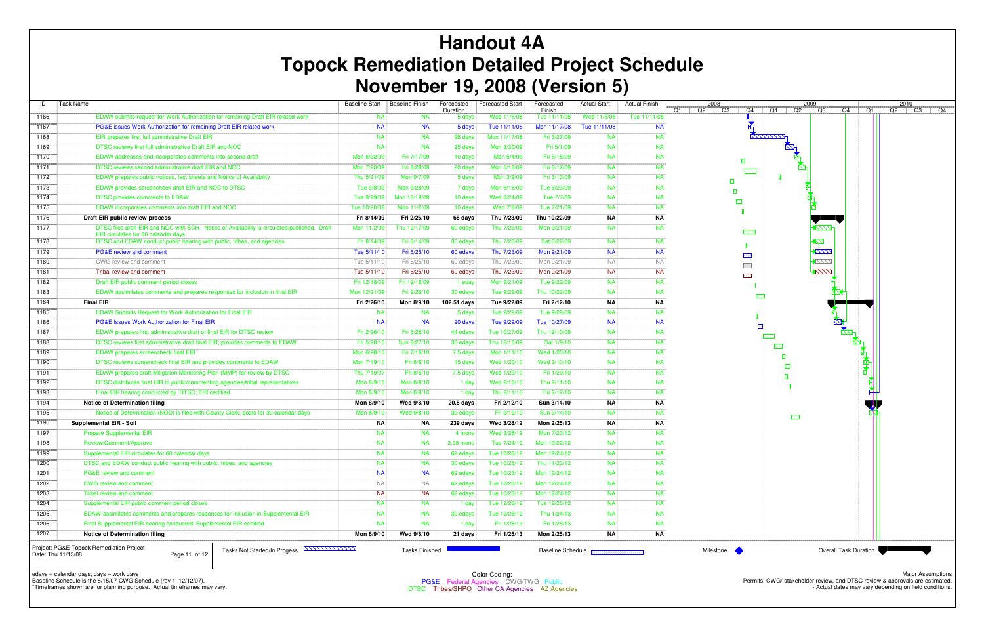| ID                 | <b>Task Name</b>                                                                                                                                           | <b>Baseline Start</b>  | <b>Baseline Finish</b> | Forecasted         | <b>Forecasted Start</b>     | Forecasted<br>Finish         | <b>Actual Start</b>                  | <b>Actual Finish</b>   | 2008                     | 2009             | Q4                           | $\overline{Q1}$ |
|--------------------|------------------------------------------------------------------------------------------------------------------------------------------------------------|------------------------|------------------------|--------------------|-----------------------------|------------------------------|--------------------------------------|------------------------|--------------------------|------------------|------------------------------|-----------------|
| 1166               | EDAW submits request for Work Authorization for remaining Draft EIR related work                                                                           | <b>NA</b>              | <b>NA</b>              | Duration<br>5 days | Wed 11/5/08                 | Tue 11/11/08                 | Wed 11/5/08                          | Tue 11/11/08           | Q2<br>Q3<br>Q4<br>Q1     | Q1<br>Q2<br>$Q3$ |                              |                 |
| 1167               | PG&E issues Work Authorization for remaining Draft EIR related work                                                                                        | <b>NA</b>              | <b>NA</b>              | 5 days             | Tue 11/11/08                | Mon 11/17/08                 | Tue 11/11/08                         | <b>NA</b>              |                          |                  |                              |                 |
| 1168               | EIR prepares first full administrative Draft EIR                                                                                                           | <b>NA</b>              | <b>NA</b>              | 95 days            | Mon 11/17/08                | Fri 3/27/09                  | <b>NA</b>                            | <b>NA</b>              |                          | KAAAAAA          |                              |                 |
| 1169               | DTSC reviews first full administrative Draft EIR and NOC                                                                                                   | <b>NA</b>              | <b>NA</b>              | 25 days            | Mon 3/30/09                 | Fri 5/1/09                   | <b>NA</b>                            | <b>NA</b>              |                          | $\mathbb{Z}^n$   |                              |                 |
| 1170               | EDAW addresses and incorporates comments into second draft                                                                                                 | Mon 6/22/09            | Fri 7/17/09            | 10 days            | Mon 5/4/09                  | Fri 5/15/09                  | <b>NA</b>                            | <b>NA</b>              | 旧                        |                  |                              |                 |
| 1171               | DTSC reviews second administrative draft EIR and NOC                                                                                                       | Mon 7/20/09            | Fri 8/28/09            | 20 days            | Mon 5/18/09                 | Fri 6/12/09                  | <b>NA</b>                            | <b>NA</b>              |                          |                  |                              |                 |
| 1172               | EDAW prepares public notices, fact sheets and Notice of Availability                                                                                       | Thu 5/21/09            | Mon 9/7/09             | 5 days             | Mon 3/9/09                  | Fri 3/13/09                  | <b>NA</b>                            | <b>NA</b>              | 凮                        |                  |                              |                 |
| 1173               | EDAW provides screencheck draft EIR and NOC to DTSC                                                                                                        | Tue 9/8/09             | Mon 9/28/09            | 7 days             | Mon 6/15/09                 | Tue 6/23/09                  | <b>NA</b>                            | <b>NA</b>              |                          |                  |                              |                 |
| 1174               | DTSC provides comments to EDAW                                                                                                                             | Tue 9/29/09            | Mon 10/19/09           | 10 days            | Wed 6/24/09                 | Tue 7/7/09                   | <b>NA</b>                            | <b>NA</b>              | 圝                        |                  |                              |                 |
| 1175               | EDAW incorporates comments into draft EIR and NOC                                                                                                          | Tue 10/20/09           | Mon 11/2/09            | 10 days            | Wed 7/8/09                  | Tue 7/21/09                  | <b>NA</b>                            | <b>NA</b>              |                          |                  |                              |                 |
| 1176               | Draft EIR public review process                                                                                                                            | Fri 8/14/09            | Fri 2/26/10            | 65 days            | Thu 7/23/09                 | Thu 10/22/09                 | <b>NA</b>                            | <b>NA</b>              |                          |                  |                              |                 |
| 1177               | DTSC files draft EIR and NOC with SCH. Notice of Availability is circulated/published. Draft<br>EIR circulates for 60 calendar days                        | Mon 11/2/09            | Thu 12/17/09           | 60 edays           | Thu 7/23/09                 | Mon 9/21/09                  | <b>NA</b>                            | <b>NA</b>              |                          | 1777.            |                              |                 |
| 1178               | DTSC and EDAW conduct public hearing with public, tribes, and agencies                                                                                     | Fri 8/14/09            | Fri 8/14/09            | 30 edays           | Thu 7/23/09                 | Sat 8/22/09                  | <b>NA</b>                            | <b>NA</b>              |                          | <b>ZZK</b>       |                              |                 |
| 1179               | PG&E review and comment                                                                                                                                    | Tue 5/11/10            | Fri 6/25/10            | 60 edays           | Thu 7/23/09                 | Mon 9/21/09                  | <b>NA</b>                            | <b>NA</b>              | <b>BBB</b>               | <b>2777</b>      |                              |                 |
| 1180               | CWG review and comment                                                                                                                                     | Tue 5/11/10            | Fri 6/25/10            | 60 edays           | Thu 7/23/09                 | Mon 9/21/09                  | <b>NA</b>                            | - Na                   | $\overline{\phantom{a}}$ | $\sqrt{111}$     |                              |                 |
| 1181               | Tribal review and comment                                                                                                                                  | Tue 5/11/10            | Fri 6/25/10            | 60 edays           | Thu 7/23/09                 | Mon 9/21/09                  | <b>NA</b>                            | <b>NA</b>              | 匪                        | 7777             |                              |                 |
| 1182               | Draft EIR public comment period closes                                                                                                                     | Fri 12/18/09           | Fri 12/18/09           | 1 eday             | Mon 9/21/09                 | Tue 9/22/09                  | <b>NA</b>                            | <b>NA</b>              |                          |                  |                              |                 |
| 1183               | EDAW assimilates comments and prepares responses for inclusion in final EIR                                                                                | Mon 12/21/09           | Fri 2/26/10            | 30 edays           | Tue 9/22/09                 | Thu 10/22/09                 | <b>NA</b>                            | <b>NA</b>              |                          |                  |                              |                 |
| 1184               | <b>Final EIR</b>                                                                                                                                           | Fri 2/26/10            | Mon 8/9/10             | 102.51 days        | Tue 9/22/09                 | Fri 2/12/10                  | <b>NA</b>                            | <b>NA</b>              |                          |                  |                              |                 |
| 1185               | EDAW Submits Request for Work Authorization for Final EIR                                                                                                  | <b>NA</b>              | <b>NA</b>              | 5 days             | Tue 9/22/09                 | Tue 9/29/09                  | <b>NA</b>                            | <b>NA</b>              |                          |                  |                              |                 |
| 1186               | <b>PG&amp;E Issues Work Authorization for Final EIR</b>                                                                                                    | <b>NA</b>              | <b>NA</b>              | 20 days            | Tue 9/29/09                 | Tue 10/27/09                 | <b>NA</b>                            | <b>NA</b>              |                          |                  |                              |                 |
| 1187               | EDAW prepares first administrative draft of final EIR for DTSC review                                                                                      | Fri 2/26/10            | Fri 5/28/10            | 44 edays           | Tue 10/27/09                | Thu 12/10/09                 | <b>NA</b>                            | <b>NA</b>              |                          |                  |                              |                 |
| 1188               | DTSC reviews first administrative draft final EIR; provides comments to EDAW                                                                               | Fri 5/28/10            | Sun 6/27/10            | 30 edays           | Thu 12/10/09                | Sat 1/9/10                   | <b>NA</b>                            | <b>NA</b>              |                          | <b>BEER</b>      |                              |                 |
| 1189               | <b>EDAW</b> prepares screencheck final EIR                                                                                                                 | Mon 6/28/10            | Fri 7/16/10            | 7.5 days           | Mon 1/11/10                 | Wed 1/20/10                  | <b>NA</b>                            | <b>NA</b>              |                          |                  |                              |                 |
| 1190               | DTSC reviews screencheck final EIR and provides comments to EDAW                                                                                           | Mon 7/19/10            | Fri 8/6/10             | 15 days            | Wed 1/20/10                 | Wed 2/10/10                  | <b>NA</b>                            | <b>NA</b>              |                          |                  |                              |                 |
| 1191               | EDAW prepares draft Mitigation Monitoring Plan (MMP) for review by DTSC                                                                                    | Thu 7/19/07            | Fri 8/6/10             | 7.5 days           | Wed 1/20/10                 | Fri 1/29/10                  | <b>NA</b>                            | <b>NA</b>              |                          |                  |                              |                 |
| 1192               | DTSC distributes final EIR to public/commenting agencies/tribal representatives                                                                            | Mon 8/9/10             | Mon 8/9/10             | 1 day              | Wed 2/10/10                 | Thu 2/11/10                  | <b>NA</b>                            | <b>NA</b>              |                          |                  |                              |                 |
| 1193               | Final EIR hearing conducted by DTSC; EIR certified                                                                                                         | Mon 8/9/10             | Mon 8/9/10             | 1 day              | Thu 2/11/10                 | Fri 2/12/10                  | <b>NA</b>                            | <b>NA</b>              |                          |                  |                              |                 |
| 1194               | <b>Notice of Determination filing</b>                                                                                                                      | Mon 8/9/10             | Wed 9/8/10             | 20.5 days          | Fri 2/12/10                 | Sun 3/14/10                  | <b>NA</b>                            | ΝA                     |                          |                  |                              |                 |
| 1195               | Notice of Determination (NOD) is filed with County Clerk; posts for 30 calendar days                                                                       | Mon 8/9/10             | Wed 9/8/10             | 30 edays           | Fri 2/12/10                 | Sun 3/14/10                  | <b>NA</b>                            | <b>NA</b>              |                          | - 533            |                              |                 |
| 1196               | <b>Supplemental EIR - Soil</b>                                                                                                                             | NA                     | NA                     | 239 days           | Wed 3/28/12                 | Mon 2/25/13                  | <b>NA</b>                            | ΝA                     |                          |                  |                              |                 |
| 1197               | <b>Prepare Supplemental EIR</b>                                                                                                                            | <b>NA</b>              | <b>NA</b>              | 4 mons             | Wed 3/28/12                 | Mon 7/23/12                  | <b>NA</b>                            | <b>NA</b>              |                          |                  |                              |                 |
| 1198               | Review/Comment/Approve                                                                                                                                     | <b>NA</b>              | <b>NA</b>              | 3.08 mons          | Tue 7/24/12                 | Mon 10/22/12                 | <b>NA</b>                            | <b>NA</b>              |                          |                  |                              |                 |
| 1199               | Supplemental EIR circulates for 60 calendar days                                                                                                           | <b>NA</b>              | <b>NA</b>              | 62 edays           | Tue 10/23/12                | Mon 12/24/12                 | <b>NA</b>                            | <b>NA</b>              |                          |                  |                              |                 |
| 1200               | DTSC and EDAW conduct public hearing with public, tribes, and agencies<br>PG&E review and comment                                                          | <b>NA</b>              | <b>NA</b>              | 30 edays           | Tue 10/23/12                | Thu 11/22/12<br>Mon 12/24/12 | <b>NA</b><br><b>NA</b>               | <b>NA</b>              |                          |                  |                              |                 |
| 1201               |                                                                                                                                                            | <b>NA</b>              | <b>NA</b>              | 62 edays           | Tue 10/23/12                |                              |                                      | <b>NA</b>              |                          |                  |                              |                 |
| 1202               | <b>CWG review and comment</b>                                                                                                                              | <b>NA</b>              | <b>NA</b>              | 62 edays           | Tue 10/23/12                | Mon 12/24/12                 | <b>NA</b>                            | <b>NA</b>              |                          |                  |                              |                 |
| 1203               | Tribal review and comment                                                                                                                                  | <b>NA</b>              | <b>NA</b>              | 62 edays           | Tue 10/23/12                | Mon 12/24/12                 | <b>NA</b>                            | <b>NA</b>              |                          |                  |                              |                 |
| 1204               | Supplemental EIR public comment period closes                                                                                                              | <b>NA</b>              | <b>NA</b>              | 1 day              | Tue 12/25/12                | Tue 12/25/12                 | <b>NA</b>                            | <b>NA</b>              |                          |                  |                              |                 |
| 1205               | EDAW assimilates comments and prepares responses for inclusion in Supplemental EIR<br>Final Supplemental EIR hearing conducted; Supplemental EIR certified | <b>NA</b><br><b>NA</b> | <b>NA</b><br><b>NA</b> | 30 edays           | Tue 12/25/12<br>Fri 1/25/13 | Thu 1/24/13<br>Fri 1/25/13   | <b>NA</b><br><b>NA</b>               | <b>NA</b><br><b>NA</b> |                          |                  |                              |                 |
| 1206               | <b>Notice of Determination filing</b>                                                                                                                      |                        |                        | 1 day              |                             |                              | ΝA                                   |                        |                          |                  |                              |                 |
| 1207               |                                                                                                                                                            | Mon 8/9/10             | Wed 9/8/10             | 21 days            | Fri 1/25/13                 | Mon 2/25/13                  |                                      | ΝA                     |                          |                  |                              |                 |
| Date: Thu 11/13/08 | Project: PG&E Topock Remediation Project<br>Tasks Not Started/In Progess <b>ANNILILIAN</b><br>Page 11 of 12                                                |                        | <b>Tasks Finished</b>  |                    |                             |                              | <b>Baseline Schedule RECONSTRACT</b> |                        | Milestone •              |                  | <b>Overall Task Duration</b> |                 |

# **Handout 4A Topock Remediation Detailed Project Schedule November 19, 2008 (Version 5)**

edays = calendar days; days = work days Baseline Schedule is the 8/15/07 CWG Schedule (rev 1, 12/12/07).